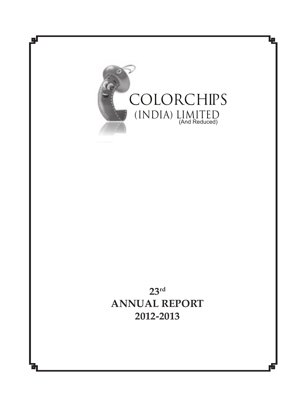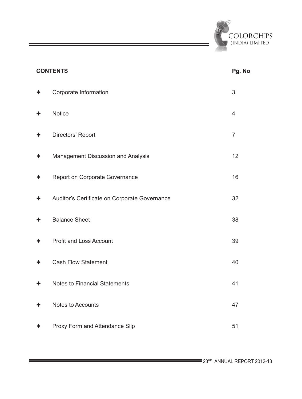

| <b>CONTENTS</b>                               | Pg. No         |
|-----------------------------------------------|----------------|
| Corporate Information                         | 3              |
| Notice                                        | 4              |
| Directors' Report                             | $\overline{7}$ |
| Management Discussion and Analysis            | 12             |
| Report on Corporate Governance                | 16             |
| Auditor's Certificate on Corporate Governance | 32             |
| <b>Balance Sheet</b>                          | 38             |
| Profit and Loss Account                       | 39             |
| <b>Cash Flow Statement</b>                    | 40             |
| Notes to Financial Statements                 | 41             |
| Notes to Accounts                             | 47             |
| Proxy Form and Attendance Slip                | 51             |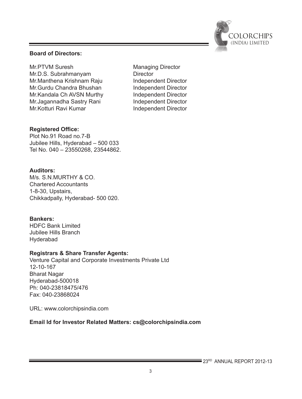

# **Board of Directors:**

Mr.PTVM Suresh Managing Director<br>
Mr D S Subrahmanyam Managing Director Mr.D.S. Subrahmanyam **Director**<br>Mr.Manthena Krishnam Raiu **Director** Independent Director Mr.Manthena Krishnam Raju and Independent Director<br>Mr.Gurdu Chandra Bhushan Independent Director Mr.Gurdu Chandra Bhushan Independent Director<br>
Mr.Kandala Ch AVSN Murthy Independent Director Mr.Kandala Ch AVSN Murthy **Independent Director**<br>
Mr.Jagannadha Sastry Rani **Independent Director** Mr.Jagannadha Sastry Rani<br>Mr Kotturi Ravi Kumar

Independent Director

### **Registered Office:**

Plot No.91 Road no.7-B Jubilee Hills, Hyderabad – 500 033 Tel No. 040 – 23550268, 23544862.

# **Auditors:**

M/s. S.N.MURTHY & CO. Chartered Accountants 1-8-30, Upstairs, Chikkadpally, Hyderabad- 500 020.

### **Bankers:**

HDFC Bank Limited Jubilee Hills Branch Hyderabad

### **Registrars & Share Transfer Agents:**

Venture Capital and Corporate Investments Private Ltd 12-10-167 Bharat Nagar Hyderabad-500018 Ph: 040-23818475/476 Fax: 040-23868024

URL: www.colorchipsindia.com

# **Email Id for Investor Related Matters: cs@colorchipsindia.com**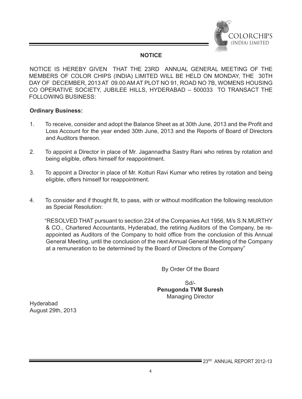

# **NOTICE**

NOTICE IS HEREBY GIVEN THAT THE 23RD ANNUAL GENERAL MEETING OF THE MEMBERS OF COLOR CHIPS (INDIA) LIMITED WILL BE HELD ON MONDAY, THE 30TH DAY OF DECEMBER, 2013 AT 09.00 AM AT PLOT NO 91, ROAD NO 7B, WOMENS HOUSING CO OPERATIVE SOCIETY, JUBILEE HILLS, HYDERABAD – 500033 TO TRANSACT THE FOLLOWING BUSINESS:

#### **Ordinary Business:**

- 1. To receive, consider and adopt the Balance Sheet as at 30th June, 2013 and the Profit and Loss Account for the year ended 30th June, 2013 and the Reports of Board of Directors and Auditors thereon.
- 2. To appoint a Director in place of Mr. Jagannadha Sastry Rani who retires by rotation and being eligible, offers himself for reappointment.
- 3. To appoint a Director in place of Mr. Kotturi Ravi Kumar who retires by rotation and being eligible, offers himself for reappointment.
- 4. To consider and if thought fit, to pass, with or without modification the following resolution as Special Resolution:

 "RESOLVED THAT pursuant to section 224 of the Companies Act 1956, M/s S.N.MURTHY & CO., Chartered Accountants, Hyderabad, the retiring Auditors of the Company, be reappointed as Auditors of the Company to hold office from the conclusion of this Annual General Meeting, until the conclusion of the next Annual General Meeting of the Company at a remuneration to be determined by the Board of Directors of the Company"

By Order Of the Board

 Sd/-  **Penugonda TVM Suresh** Managing Director

Hyderabad August 29th, 2013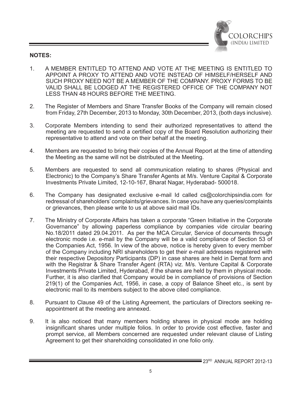

# **NOTES:**

- 1. A MEMBER ENTITLED TO ATTEND AND VOTE AT THE MEETING IS ENTITLED TO APPOINT A PROXY TO ATTEND AND VOTE INSTEAD OF HIMSELF/HERSELF AND SUCH PROXY NEED NOT BE A MEMBER OF THE COMPANY. PROXY FORMS TO BE VALID SHALL BE LODGED AT THE REGISTERED OFFICE OF THE COMPANY NOT LESS THAN 48 HOURS BEFORE THE MEETING.
- 2. The Register of Members and Share Transfer Books of the Company will remain closed from Friday, 27th December, 2013 to Monday, 30th December, 2013, (both days inclusive).
- 3. Corporate Members intending to send their authorized representatives to attend the meeting are requested to send a certified copy of the Board Resolution authorizing their representative to attend and vote on their behalf at the meeting.
- 4. Members are requested to bring their copies of the Annual Report at the time of attending the Meeting as the same will not be distributed at the Meeting.
- 5. Members are requested to send all communication relating to shares (Physical and Electronic) to the Company's Share Transfer Agents at M/s. Venture Capital & Corporate Investments Private Limited, 12-10-167, Bharat Nagar, Hyderabad- 500018.
- 6. The Company has designated exclusive e-mail Id called cs@colorchipsindia.com for redressal of shareholders' complaints/grievances. In case you have any queries/complaints or grievances, then please write to us at above said mail IDs.
- 7. The Ministry of Corporate Affairs has taken a corporate "Green Initiative in the Corporate Governance" by allowing paperless compliance by companies vide circular bearing No.18/2011 dated 29.04.2011. As per the MCA Circular, Service of documents through electronic mode i.e. e-mail by the Company will be a valid compliance of Section 53 of the Companies Act, 1956. In view of the above, notice is hereby given to every member of the Company including NRI shareholders to get their e-mail addresses registered with their respective Depository Participants (DP) in case shares are held in Demat form and with the Registrar & Share Transfer Agent (RTA) viz. M/s. Venture Capital & Corporate Investments Private Limited, Hyderabad, if the shares are held by them in physical mode. Further, it is also clarified that Company would be in compliance of provisions of Section 219(1) of the Companies Act, 1956, in case, a copy of Balance Sheet etc., is sent by electronic mail to its members subject to the above cited compliance.
- 8. Pursuant to Clause 49 of the Listing Agreement, the particulars of Directors seeking reappointment at the meeting are annexed.
- 9. It is also noticed that many members holding shares in physical mode are holding insignificant shares under multiple folios. In order to provide cost effective, faster and prompt service, all Members concerned are requested under relevant clause of Listing Agreement to get their shareholding consolidated in one folio only.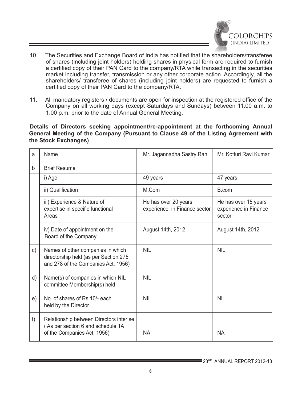

- 10. The Securities and Exchange Board of India has notified that the shareholders/transferee of shares (including joint holders) holding shares in physical form are required to furnish a certified copy of their PAN Card to the company/RTA while transacting in the securities market including transfer, transmission or any other corporate action. Accordingly, all the shareholders/ transferee of shares (including joint holders) are requested to furnish a certified copy of their PAN Card to the company/RTA.
- 11. All mandatory registers / documents are open for inspection at the registered office of the Company on all working days (except Saturdays and Sundays) between 11.00 a.m. to 1.00 p.m. prior to the date of Annual General Meeting.

#### **Details of Directors seeking appointment/re-appointment at the forthcoming Annual General Meeting of the Company (Pursuant to Clause 49 of the Listing Agreement with the Stock Exchanges)**

| a     | Name                                                                                                              | Mr. Jagannadha Sastry Rani                           | Mr. Kotturi Ravi Kumar                                  |
|-------|-------------------------------------------------------------------------------------------------------------------|------------------------------------------------------|---------------------------------------------------------|
| b     | <b>Brief Resume</b>                                                                                               |                                                      |                                                         |
|       | i) Age                                                                                                            | 49 years                                             | 47 years                                                |
|       | ii) Qualification                                                                                                 | M.Com                                                | B.com                                                   |
|       | iii) Experience & Nature of<br>expertise in specific functional<br>Areas                                          | He has over 20 years<br>experience in Finance sector | He has over 15 years<br>experience in Finance<br>sector |
|       | iv) Date of appointment on the<br>Board of the Company                                                            | August 14th, 2012                                    | August 14th, 2012                                       |
| c)    | Names of other companies in which<br>directorship held (as per Section 275<br>and 278 of the Companies Act, 1956) | <b>NIL</b>                                           | <b>NIL</b>                                              |
| d)    | Name(s) of companies in which NIL<br>committee Membership(s) held                                                 | <b>NIL</b>                                           |                                                         |
| e)    | No. of shares of Rs. 10/- each<br>held by the Director                                                            | <b>NIL</b>                                           | <b>NIL</b>                                              |
| $f$ ) | Relationship between Directors inter se<br>(As per section 6 and schedule 1A<br>of the Companies Act, 1956)       | NA.                                                  | <b>NA</b>                                               |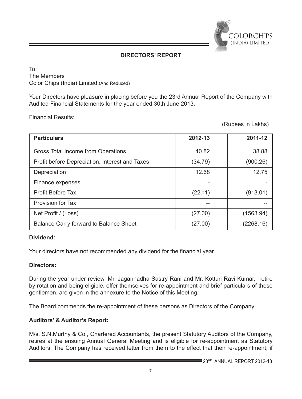

# **DIRECTORS' REPORT**

To The Members Color Chips (India) Limited (And Reduced)

Your Directors have pleasure in placing before you the 23rd Annual Report of the Company with Audited Financial Statements for the year ended 30th June 2013.

Financial Results:

 (Rupees in Lakhs)

| <b>Particulars</b>                             | 2012-13 | 2011-12   |
|------------------------------------------------|---------|-----------|
| Gross Total Income from Operations             | 40.82   | 38.88     |
| Profit before Depreciation, Interest and Taxes | (34.79) | (900.26)  |
| Depreciation                                   | 12.68   | 12.75     |
| Finance expenses                               |         |           |
| <b>Profit Before Tax</b>                       | (22.11) | (913.01)  |
| Provision for Tax                              |         |           |
| Net Profit / (Loss)                            | (27.00) | (1563.94) |
| Balance Carry forward to Balance Sheet         | (27.00) | (2268.16) |

#### **Dividend:**

Your directors have not recommended any dividend for the financial year.

#### **Directors:**

During the year under review, Mr. Jagannadha Sastry Rani and Mr. Kotturi Ravi Kumar, retire by rotation and being eligible, offer themselves for re-appointment and brief particulars of these gentlemen, are given in the annexure to the Notice of this Meeting.

The Board commends the re-appointment of these persons as Directors of the Company.

### **Auditors' & Auditor's Report:**

M/s. S.N.Murthy & Co., Chartered Accountants, the present Statutory Auditors of the Company, retires at the ensuing Annual General Meeting and is eligible for re-appointment as Statutory Auditors. The Company has received letter from them to the effect that their re-appointment, if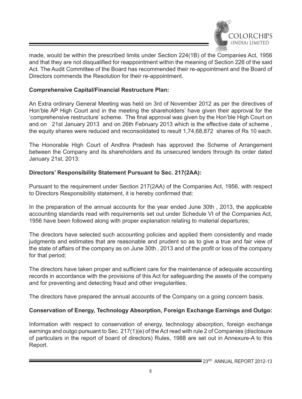

made, would be within the prescribed limits under Section 224(1B) of the Companies Act, 1956 and that they are not disqualified for reappointment within the meaning of Section 226 of the said Act. The Audit Committee of the Board has recommended their re-appointment and the Board of Directors commends the Resolution for their re-appointment.

# **Comprehensive Capital/Financial Restructure Plan:**

An Extra ordinary General Meeting was held on 3rd of November 2012 as per the directives of Hon'ble AP High Court and in the meeting the shareholders' have given their approval for the 'comprehensive restructure' scheme. The final approval was given by the Hon'ble High Court on and on 21st January 2013 and on 26th February 2013 which is the effective date of scheme , the equity shares were reduced and reconsolidated to result 1,74,68,872 shares of Rs 10 each.

The Honorable High Court of Andhra Pradesh has approved the Scheme of Arrangement between the Company and its shareholders and its unsecured lenders through its order dated January 21st, 2013:

# **Directors' Responsibility Statement Pursuant to Sec. 217(2AA):**

Pursuant to the requirement under Section 217(2AA) of the Companies Act, 1956, with respect to Directors Responsibility statement, it is hereby confirmed that:

In the preparation of the annual accounts for the year ended June 30th , 2013, the applicable accounting standards read with requirements set out under Schedule VI of the Companies Act, 1956 have been followed along with proper explanation relating to material departures;

The directors have selected such accounting policies and applied them consistently and made judgments and estimates that are reasonable and prudent so as to give a true and fair view of the state of affairs of the company as on June 30th , 2013 and of the profit or loss of the company for that period;

The directors have taken proper and sufficient care for the maintenance of adequate accounting records in accordance with the provisions of this Act for safeguarding the assets of the company and for preventing and detecting fraud and other irregularities;

The directors have prepared the annual accounts of the Company on a going concern basis.

# **Conservation of Energy, Technology Absorption, Foreign Exchange Earnings and Outgo:**

Information with respect to conservation of energy, technology absorption, foreign exchange earnings and outgo pursuant to Sec. 217(1)(e) of the Act read with rule 2 of Companies (disclosure of particulars in the report of board of directors) Rules, 1988 are set out in Annexure-A to this Report.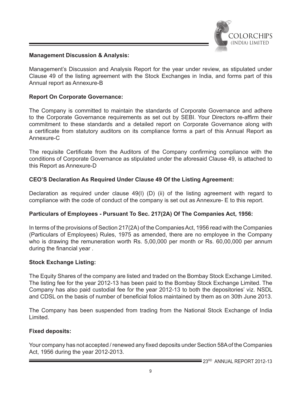

#### **Management Discussion & Analysis:**

Management's Discussion and Analysis Report for the year under review, as stipulated under Clause 49 of the listing agreement with the Stock Exchanges in India, and forms part of this Annual report as Annexure-B

#### **Report On Corporate Governance:**

The Company is committed to maintain the standards of Corporate Governance and adhere to the Corporate Governance requirements as set out by SEBI. Your Directors re-affirm their commitment to these standards and a detailed report on Corporate Governance along with a certificate from statutory auditors on its compliance forms a part of this Annual Report as Annexure-C

The requisite Certificate from the Auditors of the Company confirming compliance with the conditions of Corporate Governance as stipulated under the aforesaid Clause 49, is attached to this Report as Annexure-D

#### **CEO'S Declaration As Required Under Clause 49 Of the Listing Agreement:**

Declaration as required under clause 49(I) (D) (ii) of the listing agreement with regard to compliance with the code of conduct of the company is set out as Annexure- E to this report.

#### **Particulars of Employees - Pursuant To Sec. 217(2A) Of The Companies Act, 1956:**

In terms of the provisions of Section 217(2A) of the Companies Act, 1956 read with the Companies (Particulars of Employees) Rules, 1975 as amended, there are no employee in the Company who is drawing the remuneration worth Rs. 5,00,000 per month or Rs. 60,00,000 per annum during the financial year .

#### **Stock Exchange Listing:**

The Equity Shares of the company are listed and traded on the Bombay Stock Exchange Limited. The listing fee for the year 2012-13 has been paid to the Bombay Stock Exchange Limited. The Company has also paid custodial fee for the year 2012-13 to both the depositories' viz. NSDL and CDSL on the basis of number of beneficial folios maintained by them as on 30th June 2013.

The Company has been suspended from trading from the National Stock Exchange of India Limited.

#### **Fixed deposits:**

Your company has not accepted / renewed any fixed deposits under Section 58Aof the Companies Act, 1956 during the year 2012-2013.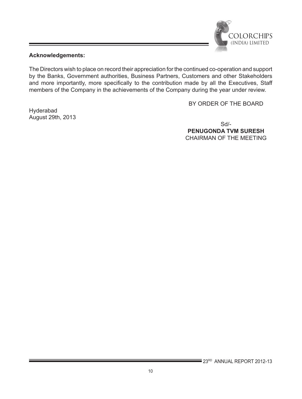

# **Acknowledgements:**

The Directors wish to place on record their appreciation for the continued co-operation and support by the Banks, Government authorities, Business Partners, Customers and other Stakeholders and more importantly, more specifically to the contribution made by all the Executives, Staff members of the Company in the achievements of the Company during the year under review.

BY ORDER OF THE BOARD

Hyderabad August 29th, 2013 

Sd/- in the state of the state of the state of the state of the state of the state of the state of the state o **PENUGONDA TVM SURESH** CHAIRMAN OF THE MEETING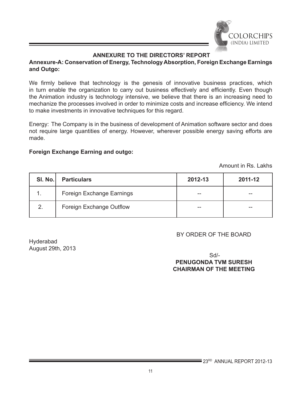

# **ANNEXURE TO THE DIRECTORS' REPORT**

# **Annexure-A: Conservation of Energy, Technology Absorption, Foreign Exchange Earnings and Outgo:**

We firmly believe that technology is the genesis of innovative business practices, which in turn enable the organization to carry out business effectively and efficiently. Even though the Animation industry is technology intensive, we believe that there is an increasing need to mechanize the processes involved in order to minimize costs and increase efficiency. We intend to make investments in innovative techniques for this regard.

Energy: The Company is in the business of development of Animation software sector and does not require large quantities of energy. However, wherever possible energy saving efforts are made.

#### **Foreign Exchange Earning and outgo:**

Amount in Rs. Lakhs

| SI. No. | <b>Particulars</b>        | 2012-13 | 2011-12 |
|---------|---------------------------|---------|---------|
|         | Foreign Exchange Earnings | --      |         |
| 2.      | Foreign Exchange Outflow  | --      |         |

### BY ORDER OF THE BOARD

Hyderabad August 29th, 2013

Sd/- **PENUGONDA TVM SURESH CHAIRMAN OF THE MEETING**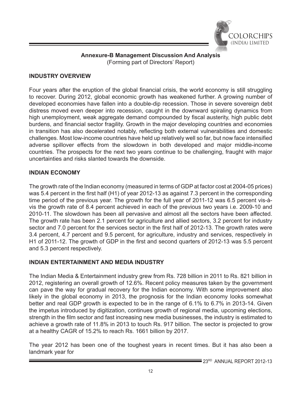

#### **Annexure-B Management Discussion And Analysis** (Forming part of Directors' Report)

# **INDUSTRY OVERVIEW**

Four years after the eruption of the global financial crisis, the world economy is still struggling to recover. During 2012, global economic growth has weakened further. A growing number of developed economies have fallen into a double-dip recession. Those in severe sovereign debt distress moved even deeper into recession, caught in the downward spiraling dynamics from high unemployment, weak aggregate demand compounded by fiscal austerity, high public debt burdens, and financial sector fragility. Growth in the major developing countries and economies in transition has also decelerated notably, reflecting both external vulnerabilities and domestic challenges. Most low-income countries have held up relatively well so far, but now face intensified adverse spillover effects from the slowdown in both developed and major middle-income countries. The prospects for the next two years continue to be challenging, fraught with major uncertainties and risks slanted towards the downside.

# **INDIAN ECONOMY**

The growth rate of the Indian economy (measured in terms of GDP at factor cost at 2004-05 prices) was 5.4 percent in the first half (H1) of year 2012-13 as against 7.3 percent in the corresponding time period of the previous year. The growth for the full year of 2011-12 was 6.5 percent vis-àvis the growth rate of 8.4 percent achieved in each of the previous two years i.e. 2009-10 and 2010-11. The slowdown has been all pervasive and almost all the sectors have been affected. The growth rate has been 2.1 percent for agriculture and allied sectors, 3.2 percent for industry sector and 7.0 percent for the services sector in the first half of 2012-13. The growth rates were 3.4 percent, 4.7 percent and 9.5 percent, for agriculture, industry and services, respectively in H1 of 2011-12. The growth of GDP in the first and second quarters of 2012-13 was 5.5 percent and 5.3 percent respectively.

### **INDIAN ENTERTAINMENT AND MEDIA INDUSTRY**

The Indian Media & Entertainment industry grew from Rs. 728 billion in 2011 to Rs. 821 billion in 2012, registering an overall growth of 12.6%. Recent policy measures taken by the government can pave the way for gradual recovery for the Indian economy. With some improvement also likely in the global economy in 2013, the prognosis for the Indian economy looks somewhat better and real GDP growth is expected to be in the range of 6.1% to 6.7% in 2013-14. Given the impetus introduced by digitization, continues growth of regional media, upcoming elections, strength in the film sector and fast increasing new media businesses, the industry is estimated to achieve a growth rate of 11.8% in 2013 to touch Rs. 917 billion. The sector is projected to grow at a healthy CAGR of 15.2% to reach Rs. 1661 billion by 2017.

The year 2012 has been one of the toughest years in recent times. But it has also been a landmark year for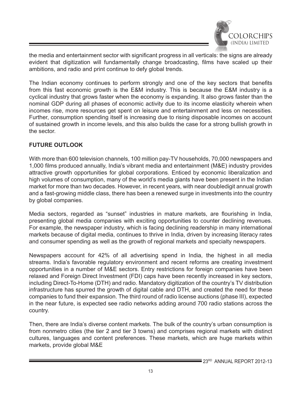

the media and entertainment sector with significant progress in all verticals: the signs are already evident that digitization will fundamentally change broadcasting, films have scaled up their ambitions, and radio and print continue to defy global trends.

The Indian economy continues to perform strongly and one of the key sectors that benefits from this fast economic growth is the E&M industry. This is because the E&M industry is a cyclical industry that grows faster when the economy is expanding. It also grows faster than the nominal GDP during all phases of economic activity due to its income elasticity wherein when incomes rise, more resources get spent on leisure and entertainment and less on necessities. Further, consumption spending itself is increasing due to rising disposable incomes on account of sustained growth in income levels, and this also builds the case for a strong bullish growth in the sector.

# **FUTURE OUTLOOK**

With more than 600 television channels, 100 million pay-TV households, 70,000 newspapers and 1,000 films produced annually, India's vibrant media and entertainment (M&E) industry provides attractive growth opportunities for global corporations. Enticed by economic liberalization and high volumes of consumption, many of the world's media giants have been present in the Indian market for more than two decades. However, in recent years, with near doubledigit annual growth and a fast-growing middle class, there has been a renewed surge in investments into the country by global companies.

Media sectors, regarded as "sunset" industries in mature markets, are flourishing in India, presenting global media companies with exciting opportunities to counter declining revenues. For example, the newspaper industry, which is facing declining readership in many international markets because of digital media, continues to thrive in India, driven by increasing literacy rates and consumer spending as well as the growth of regional markets and specialty newspapers.

Newspapers account for 42% of all advertising spend in India, the highest in all media streams. India's favorable regulatory environment and recent reforms are creating investment opportunities in a number of M&E sectors. Entry restrictions for foreign companies have been relaxed and Foreign Direct Investment (FDI) caps have been recently increased in key sectors, including Direct-To-Home (DTH) and radio. Mandatory digitization of the country's TV distribution infrastructure has spurred the growth of digital cable and DTH, and created the need for these companies to fund their expansion. The third round of radio license auctions (phase III), expected in the near future, is expected see radio networks adding around 700 radio stations across the country.

Then, there are India's diverse content markets. The bulk of the country's urban consumption is from nonmetro cities (the tier 2 and tier 3 towns) and comprises regional markets with distinct cultures, languages and content preferences. These markets, which are huge markets within markets, provide global M&E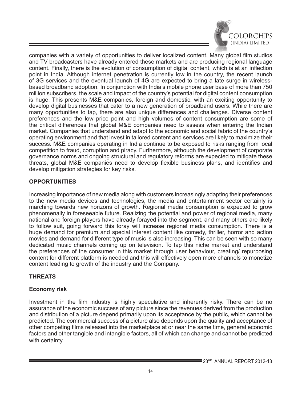

companies with a variety of opportunities to deliver localized content. Many global film studios and TV broadcasters have already entered these markets and are producing regional language content. Finally, there is the evolution of consumption of digital content, which is at an inflection point in India. Although internet penetration is currently low in the country, the recent launch of 3G services and the eventual launch of 4G are expected to bring a late surge in wirelessbased broadband adoption. In conjunction with India's mobile phone user base of more than 750 million subscribers, the scale and impact of the country's potential for digital content consumption is huge. This presents M&E companies, foreign and domestic, with an exciting opportunity to develop digital businesses that cater to a new generation of broadband users. While there are many opportunities to tap, there are also unique differences and challenges. Diverse content preferences and the low price point and high volumes of content consumption are some of the critical differences that global M&E companies need to assess when entering the Indian market. Companies that understand and adapt to the economic and social fabric of the country's operating environment and that invest in tailored content and services are likely to maximize their success. M&E companies operating in India continue to be exposed to risks ranging from local competition to fraud, corruption and piracy. Furthermore, although the development of corporate governance norms and ongoing structural and regulatory reforms are expected to mitigate these threats, global M&E companies need to develop flexible business plans, and identifies and develop mitigation strategies for key risks.

# **OPPORTUNITIES**

Increasing importance of new media along with customers increasingly adapting their preferences to the new media devices and technologies, the media and entertainment sector certainly is marching towards new horizons of growth. Regional media consumption is expected to grow phenomenally in foreseeable future. Realizing the potential and power of regional media, many national and foreign players have already forayed into the segment, and many others are likely to follow suit, going forward this foray will increase regional media consumption. There is a huge demand for premium and special interest content like comedy, thriller, horror and action movies and demand for different type of music is also increasing. This can be seen with so many dedicated music channels coming up on television. To tap this niche market and understand the preferences of the consumer in this market through user behaviour, creating/ repurposing content for different platform is needed and this will effectively open more channels to monetize content leading to growth of the industry and the Company.

# **THREATS**

### **Economy risk**

Investment in the film industry is highly speculative and inherently risky. There can be no assurance of the economic success of any picture since the revenues derived from the production and distribution of a picture depend primarily upon its acceptance by the public, which cannot be predicted. The commercial success of a picture also depends upon the quality and acceptance of other competing films released into the marketplace at or near the same time, general economic factors and other tangible and intangible factors, all of which can change and cannot be predicted with certainty.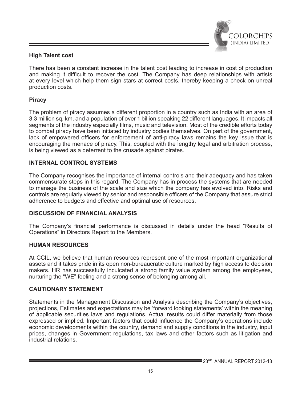

# **High Talent cost**

There has been a constant increase in the talent cost leading to increase in cost of production and making it difficult to recover the cost. The Company has deep relationships with artists at every level which help them sign stars at correct costs, thereby keeping a check on unreal production costs.

# **Piracy**

The problem of piracy assumes a different proportion in a country such as India with an area of 3.3 million sq. km. and a population of over 1 billion speaking 22 different languages. It impacts all segments of the industry especially films, music and television. Most of the credible efforts today to combat piracy have been initiated by industry bodies themselves. On part of the government, lack of empowered officers for enforcement of anti-piracy laws remains the key issue that is encouraging the menace of piracy. This, coupled with the lengthy legal and arbitration process, is being viewed as a deterrent to the crusade against pirates.

# **INTERNAL CONTROL SYSTEMS**

The Company recognises the importance of internal controls and their adequacy and has taken commensurate steps in this regard. The Company has in process the systems that are needed to manage the business of the scale and size which the company has evolved into. Risks and controls are regularly viewed by senior and responsible officers of the Company that assure strict adherence to budgets and effective and optimal use of resources.

### **DISCUSSION OF FINANCIAL ANALYSIS**

The Company's financial performance is discussed in details under the head "Results of Operations" in Directors Report to the Members.

#### **HUMAN RESOURCES**

At CCIL, we believe that human resources represent one of the most important organizational assets and it takes pride in its open non-bureaucratic culture marked by high access to decision makers. HR has successfully inculcated a strong family value system among the employees, nurturing the "WE" feeling and a strong sense of belonging among all.

### **CAUTIONARY STATEMENT**

Statements in the Management Discussion and Analysis describing the Company's objectives, projections, Estimates and expectations may be 'forward looking statements' within the meaning of applicable securities laws and regulations. Actual results could differ materially from those expressed or implied. Important factors that could influence the Company's operations include economic developments within the country, demand and supply conditions in the industry, input prices, changes in Government regulations, tax laws and other factors such as litigation and industrial relations.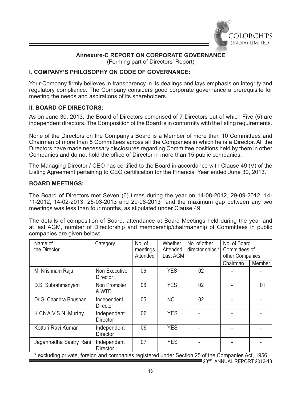

### **Annexure-C REPORT ON CORPORATE GOVERNANCE**

(Forming part of Directors' Report)

# **I. COMPANY'S PHILOSOPHY ON CODE OF GOVERNANCE:**

Your Company firmly believes in transparency in its dealings and lays emphasis on integrity and regulatory compliance. The Company considers good corporate governance a prerequisite for meeting the needs and aspirations of its shareholders.

#### **II. BOARD OF DIRECTORS:**

As on June 30, 2013, the Board of Directors comprised of 7 Directors out of which Five (5) are independent directors. The Composition of the Board is in conformity with the listing requirements.

None of the Directors on the Company's Board is a Member of more than 10 Committees and Chairman of more than 5 Committees across all the Companies in which he is a Director. All the Directors have made necessary disclosures regarding Committee positions held by them in other Companies and do not hold the office of Director in more than 15 public companies.

The Managing Director / CEO has certified to the Board in accordance with Clause 49 (V) of the Listing Agreement pertaining to CEO certification for the Financial Year ended June 30, 2013.

#### **BOARD MEETINGS:**

The Board of Directors met Seven (6) times during the year on 14-08-2012, 29-09-2012, 14- 11-2012, 14-02-2013, 25-03-2013 and 29-08-2013 and the maximum gap between any two meetings was less than four months, as stipulated under Clause 49.

The details of composition of Board, attendance at Board Meetings held during the year and at last AGM, number of Directorship and membership/chairmanship of Committees in public companies are given below:

| Name of<br>the Director                                                                                                          | Category                         | No. of<br>meetings<br>Attended | Whether<br>Attended<br>Last AGM | No. of other<br>director ships * | No. of Board<br>Committees of<br>other Companies |        |
|----------------------------------------------------------------------------------------------------------------------------------|----------------------------------|--------------------------------|---------------------------------|----------------------------------|--------------------------------------------------|--------|
|                                                                                                                                  |                                  |                                |                                 |                                  | Chairman                                         | Member |
| M. Krishnam Raju                                                                                                                 | Non Executive<br><b>Director</b> | 06                             | <b>YES</b>                      | 02                               |                                                  |        |
| D.S. Subrahmanyam                                                                                                                | Non Promoter<br>& WTD            | 06                             | <b>YES</b>                      | 02                               |                                                  | 01     |
| Dr.G. Chandra Bhushan                                                                                                            | Independent<br><b>Director</b>   | 05                             | <b>NO</b>                       | 02                               |                                                  |        |
| K.Ch.A.V.S.N. Murthy                                                                                                             | Independent<br><b>Director</b>   | 06                             | <b>YES</b>                      |                                  |                                                  |        |
| Kotturi Ravi Kumar                                                                                                               | Independent<br><b>Director</b>   | 06                             | <b>YES</b>                      |                                  |                                                  |        |
| Jagannadha Sastry Rani                                                                                                           | Independent<br><b>Director</b>   | 07                             | <b>YES</b>                      |                                  |                                                  |        |
| * excluding private, foreign and companies registered under Section 25 of the Companies Act, 1956.<br>23RD ANNUAL REPORT 2012-13 |                                  |                                |                                 |                                  |                                                  |        |
|                                                                                                                                  |                                  |                                |                                 |                                  |                                                  |        |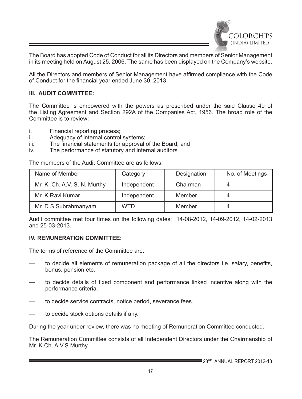

The Board has adopted Code of Conduct for all its Directors and members of Senior Management in its meeting held on August 25, 2006. The same has been displayed on the Company's website.

All the Directors and members of Senior Management have affirmed compliance with the Code of Conduct for the financial year ended June 30, 2013.

#### **III. AUDIT COMMITTEE:**

The Committee is empowered with the powers as prescribed under the said Clause 49 of the Listing Agreement and Section 292A of the Companies Act, 1956. The broad role of the Committee is to review:

- i. Financial reporting process;
- ii. Adequacy of internal control systems;
- iii. The financial statements for approval of the Board; and
- iv. The performance of statutory and internal auditors

The members of the Audit Committee are as follows:

| Name of Member               | Category    | Designation | No. of Meetings |
|------------------------------|-------------|-------------|-----------------|
| Mr. K. Ch. A.V. S. N. Murthy | Independent | Chairman    |                 |
| Mr. K.Ravi Kumar             | Independent | Member      |                 |
| Mr. D S Subrahmanyam         | <b>WTD</b>  | Member      |                 |

Audit committee met four times on the following dates: 14-08-2012, 14-09-2012, 14-02-2013 and 25-03-2013.

### **IV. REMUNERATION COMMITTEE:**

The terms of reference of the Committee are:

- to decide all elements of remuneration package of all the directors i.e. salary, benefits, bonus, pension etc.
- to decide details of fixed component and performance linked incentive along with the performance criteria.
- to decide service contracts, notice period, severance fees.
- to decide stock options details if any.

During the year under review, there was no meeting of Remuneration Committee conducted.

The Remuneration Committee consists of all Independent Directors under the Chairmanship of Mr. K.Ch. A.V.S Murthy.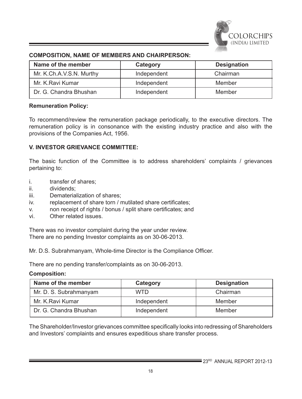

#### **COMPOSITION, NAME OF MEMBERS AND CHAIRPERSON:**

| Name of the member       | Category    | <b>Designation</b> |
|--------------------------|-------------|--------------------|
| Mr. K.Ch.A.V.S.N. Murthy | Independent | Chairman           |
| Mr. K.Ravi Kumar         | Independent | Member             |
| Dr. G. Chandra Bhushan   | Independent | Member             |

#### **Remuneration Policy:**

To recommend/review the remuneration package periodically, to the executive directors. The remuneration policy is in consonance with the existing industry practice and also with the provisions of the Companies Act, 1956.

### **V. INVESTOR GRIEVANCE COMMITTEE:**

The basic function of the Committee is to address shareholders' complaints / grievances pertaining to:

- i. transfer of shares;
- ii. dividends:
- iii. Dematerialization of shares;
- iv. replacement of share torn / mutilated share certificates;
- v. non receipt of rights / bonus / split share certificates; and
- vi. Other related issues.

There was no investor complaint during the year under review. There are no pending Investor complaints as on 30-06-2013.

Mr. D.S. Subrahmanyam, Whole-time Director is the Compliance Officer.

There are no pending transfer/complaints as on 30-06-2013.

#### **Composition:**

| Name of the member     | Category    | <b>Designation</b> |
|------------------------|-------------|--------------------|
| Mr. D. S. Subrahmanyam | WTD         | Chairman           |
| Mr. K.Ravi Kumar       | Independent | Member             |
| Dr. G. Chandra Bhushan | Independent | Member             |

The Shareholder/Investor grievances committee specifically looks into redressing of Shareholders and Investors' complaints and ensures expeditious share transfer process.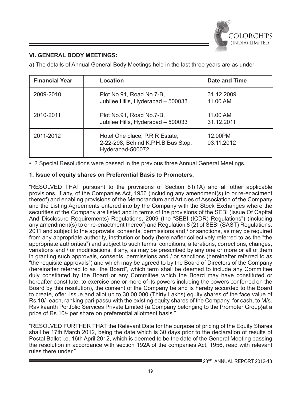

# **VI. GENERAL BODY MEETINGS:**

a) The details of Annual General Body Meetings held in the last three years are as under:

| <b>Financial Year</b> | <b>Location</b>                                                                           | <b>Date and Time</b>   |
|-----------------------|-------------------------------------------------------------------------------------------|------------------------|
| 2009-2010             | Plot No.91, Road No.7-B,<br>Jubilee Hills, Hyderabad - 500033                             | 31.12.2009<br>11.00 AM |
| 2010-2011             | Plot No.91, Road No.7-B,<br>Jubilee Hills, Hyderabad - 500033                             | 11.00 AM<br>31.12.2011 |
| 2011-2012             | Hotel One place, P.R.R Estate,<br>2-22-298, Behind K.P.H.B Bus Stop,<br>Hyderabad-500072. | 12.00PM<br>03.11.2012  |

• 2 Special Resolutions were passed in the previous three Annual General Meetings.

### **1. Issue of equity shares on Preferential Basis to Promoters.**

"RESOLVED THAT pursuant to the provisions of Section 81(1A) and all other applicable provisions, if any, of the Companies Act, 1956 (including any amendment(s) to or re-enactment thereof) and enabling provisions of the Memorandum and Articles of Association of the Company and the Listing Agreements entered into by the Company with the Stock Exchanges where the securities of the Company are listed and in terms of the provisions of the SEBI (Issue Of Capital And Disclosure Requirements) Regulations, 2009 (the "SEBI (ICDR) Regulations") (including any amendment(s) to or re-enactment thereof) and Regulation 8 (2) of SEBI (SAST) Regulations, 2011 and subject to the approvals, consents, permissions and / or sanctions, as may be required from any appropriate authority, institution or body (hereinafter collectively referred to as the "the appropriate authorities") and subject to such terms, conditions, alterations, corrections, changes, variations and / or modifications, if any, as may be prescribed by any one or more or all of them in granting such approvals, consents, permissions and / or sanctions (hereinafter referred to as "the requisite approvals") and which may be agreed to by the Board of Directors of the Company (hereinafter referred to as "the Board", which term shall be deemed to include any Committee duly constituted by the Board or any Committee which the Board may have constituted or hereafter constitute, to exercise one or more of its powers including the powers conferred on the Board by this resolution), the consent of the Company be and is hereby accorded to the Board to create, offer, issue and allot up to 30,00,000 (Thirty Lakhs) equity shares of the face value of Rs.10/- each, ranking pari-passu with the existing equity shares of the Company, for cash, to M/s. Ravikaanth Portfolio Services Private Limited {a Company belonging to the Promoter Group}at a price of Rs.10/- per share on preferential allotment basis."

"RESOLVED FURTHER THAT the Relevant Date for the purpose of pricing of the Equity Shares shall be 17th March 2012, being the date which is 30 days prior to the declaration of results of Postal Ballot i.e. 16th April 2012, which is deemed to be the date of the General Meeting passing the resolution in accordance with section 192A of the companies Act, 1956, read with relevant rules there under."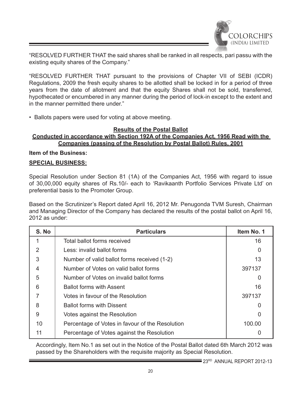

"RESOLVED FURTHER THAT the said shares shall be ranked in all respects, pari passu with the existing equity shares of the Company."

"RESOLVED FURTHER THAT pursuant to the provisions of Chapter VII of SEBI (ICDR) Regulations, 2009 the fresh equity shares to be allotted shall be locked in for a period of three years from the date of allotment and that the equity Shares shall not be sold, transferred, hypothecated or encumbered in any manner during the period of lock-in except to the extent and in the manner permitted there under."

• Ballots papers were used for voting at above meeting.

#### **Results of the Postal Ballot Conducted in accordance with Section 192A of the Companies Act, 1956 Read with the Companies (passing of the Resolution by Postal Ballot) Rules, 2001**

# **Item of the Business:**

# **SPECIAL BUSINESS:**

Special Resolution under Section 81 (1A) of the Companies Act, 1956 with regard to issue of 30,00,000 equity shares of Rs.10/- each to 'Ravikaanth Portfolio Services Private Ltd' on preferential basis to the Promoter Group.

Based on the Scrutinizer's Report dated April 16, 2012 Mr. Penugonda TVM Suresh, Chairman and Managing Director of the Company has declared the results of the postal ballot on April 16, 2012 as under:

| S. No | <b>Particulars</b>                              | Item No. 1 |
|-------|-------------------------------------------------|------------|
| 1     | Total ballot forms received                     | 16         |
| 2     | Less: invalid ballot forms                      | 0          |
| 3     | Number of valid ballot forms received (1-2)     | 13         |
| 4     | Number of Votes on valid ballot forms           | 397137     |
| 5     | Number of Votes on invalid ballot forms         | 0          |
| 6     | <b>Ballot forms with Assent</b>                 | 16         |
|       | Votes in favour of the Resolution               | 397137     |
| 8     | <b>Ballot forms with Dissent</b>                |            |
| 9     | Votes against the Resolution                    | 0          |
| 10    | Percentage of Votes in favour of the Resolution | 100.00     |
| 11    | Percentage of Votes against the Resolution      | 0          |

Accordingly, Item No.1 as set out in the Notice of the Postal Ballot dated 6th March 2012 was passed by the Shareholders with the requisite majority as Special Resolution.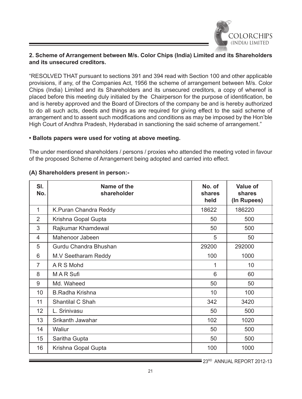

### **2. Scheme of Arrangement between M/s. Color Chips (India) Limited and its Shareholders and its unsecured creditors.**

"RESOLVED THAT pursuant to sections 391 and 394 read with Section 100 and other applicable provisions, if any, of the Companies Act, 1956 the scheme of arrangement between M/s. Color Chips (India) Limited and its Shareholders and its unsecured creditors, a copy of whereof is placed before this meeting duly initialed by the Chairperson for the purpose of identification, be and is hereby approved and the Board of Directors of the company be and is hereby authorized to do all such acts, deeds and things as are required for giving effect to the said scheme of arrangement and to assent such modifications and conditions as may be imposed by the Hon'ble High Court of Andhra Pradesh, Hyderabad in sanctioning the said scheme of arrangement."

#### **• Ballots papers were used for voting at above meeting.**

The under mentioned shareholders / persons / proxies who attended the meeting voted in favour of the proposed Scheme of Arrangement being adopted and carried into effect.

| SI.<br>No.     | Name of the<br>shareholder | No. of<br>shares<br>held | Value of<br>shares<br>(In Rupees) |
|----------------|----------------------------|--------------------------|-----------------------------------|
| $\mathbf{1}$   | K.Puran Chandra Reddy      | 18622                    | 186220                            |
| $\overline{2}$ | Krishna Gopal Gupta        | 50                       | 500                               |
| 3              | Rajkumar Khamdewal         | 50                       | 500                               |
| 4              | Mahenoor Jabeen            | 5                        | 50                                |
| 5              | Gurdu Chandra Bhushan      | 29200                    | 292000                            |
| 6              | M.V Seetharam Reddy        | 100                      | 1000                              |
| 7              | A R S Mohd                 | 1                        | 10                                |
| 8              | M A R Sufi                 | 6                        | 60                                |
| 9              | Md. Waheed                 | 50                       | 50                                |
| 10             | <b>B.Radha Krishna</b>     | 10                       | 100                               |
| 11             | Shantilal C Shah           | 342                      | 3420                              |
| 12             | L. Srinivasu               | 50                       | 500                               |
| 13             | Srikanth Jawahar           | 102                      | 1020                              |
| 14             | Waliur                     | 50                       | 500                               |
| 15             | Saritha Gupta              | 50                       | 500                               |
| 16             | Krishna Gopal Gupta        | 100                      | 1000                              |

#### **(A) Shareholders present in person:-**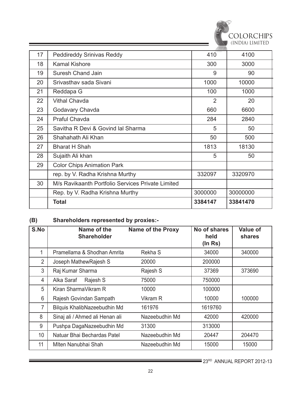|    |                                                   | - 62    | <b>COLORCHIPS</b><br>(INDIA) LIMITED |
|----|---------------------------------------------------|---------|--------------------------------------|
| 17 | Peddireddy Srinivas Reddy                         | 410     | 4100                                 |
| 18 | Kamal Kishore                                     | 300     | 3000                                 |
| 19 | Suresh Chand Jain                                 | 9       | 90                                   |
| 20 | Srivasthav sada Sivani                            | 1000    | 10000                                |
| 21 | Reddapa G                                         | 100     | 1000                                 |
| 22 | Vithal Chavda                                     | 2       | 20                                   |
| 23 | Godavary Chavda                                   | 660     | 6600                                 |
| 24 | Praful Chavda                                     | 284     | 2840                                 |
| 25 | Savitha R Devi & Govind lal Sharma                | 5       | 50                                   |
| 26 | Shahahath Ali Khan                                | 50      | 500                                  |
| 27 | <b>Bharat H Shah</b>                              | 1813    | 18130                                |
| 28 | Sujaith Ali khan                                  | 5       | 50                                   |
| 29 | <b>Color Chips Animation Park</b>                 |         |                                      |
|    | rep. by V. Radha Krishna Murthy                   | 332097  | 3320970                              |
| 30 | M/s Ravikaanth Portfolio Services Private Limited |         |                                      |
|    | Rep. by V. Radha Krishna Murthy                   | 3000000 | 30000000                             |
|    | Total                                             | 3384147 | 33841470                             |

# **(B) Shareholders represented by proxies:-**

| S.No           | Name of the<br><b>Shareholder</b> | <b>Name of the Proxy</b> | No of shares<br>held<br>(ln Rs) | Value of<br>shares |
|----------------|-----------------------------------|--------------------------|---------------------------------|--------------------|
| 1              | Pramellama & Shodhan Amrita       | Rekha S                  | 34000                           | 340000             |
| 2              | Joseph MathewRajesh S             | 20000                    | 200000                          |                    |
| 3              | Raj Kumar Sharma                  | Rajesh S                 | 37369                           | 373690             |
| 4              | Alka Saraf<br>Rajesh S            | 75000                    | 750000                          |                    |
| 5              | Kiran SharmaVikram R              | 10000                    | 100000                          |                    |
| 6              | Rajesh Govindan Sampath           | Vikram R                 | 10000                           | 100000             |
| $\overline{7}$ | Bilquis KhalibNazeebudhin Md      | 161976                   | 1619760                         |                    |
| 8              | Sinaj ali / Ahmed ali Henan ali   | Nazeebudhin Md           | 42000                           | 420000             |
| 9              | Pushpa DagaNazeebudhin Md         | 31300                    | 313000                          |                    |
| 10             | Natuar Bhai Bechardas Patel       | Nazeebudhin Md           | 20447                           | 204470             |
| 11             | MIten Nanubhai Shah               | Nazeebudhin Md           | 15000                           | 15000              |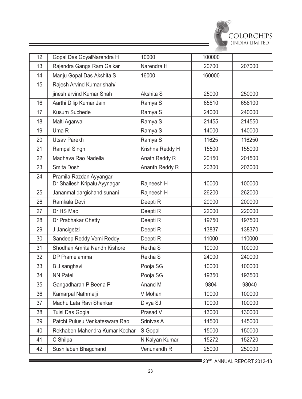

| 12 | Gopal Das GoyalNarendra H                               | 10000               | 100000 |        |
|----|---------------------------------------------------------|---------------------|--------|--------|
| 13 | Rajendra Ganga Ram Gaikar                               | Narendra H          | 20700  | 207000 |
| 14 | Manju Gopal Das Akshita S                               | 16000               | 160000 |        |
| 15 | Rajesh Arvind Kumar shah/                               |                     |        |        |
|    | jinesh arvind Kumar Shah                                | Akshita S           | 25000  | 250000 |
| 16 | Aarthi Dilip Kumar Jain                                 | Ramya S             | 65610  | 656100 |
| 17 | Kusum Suchede                                           | Ramya S             | 24000  | 240000 |
| 18 | Malti Agarwal                                           | Ramya S             | 21455  | 214550 |
| 19 | Uma R                                                   | Ramya S             | 14000  | 140000 |
| 20 | Utsav Parekh                                            | Ramya S             | 11625  | 116250 |
| 21 | Rampal Singh                                            | Krishna Reddy H     | 15500  | 155000 |
| 22 | Madhava Rao Nadella                                     | Anath Reddy R       | 20150  | 201500 |
| 23 | Smita Doshi                                             | Ananth Reddy R      | 20300  | 203000 |
| 24 | Pramila Razdan Ayyangar<br>Dr Shailesh Kripalu Ayynagar | Rajneesh H          | 10000  | 100000 |
| 25 | Jananmal dargichand sunani                              | Rajneesh H          | 26200  | 262000 |
| 26 | Ramkala Devi                                            | Deepti <sub>R</sub> | 20000  | 200000 |
| 27 | Dr HS Mac                                               | Deepti <sub>R</sub> | 22000  | 220000 |
| 28 | Dr Prabhakar Chetty                                     | Deepti R            | 19750  | 197500 |
| 29 | J Jancigetzi                                            | Deepti <sub>R</sub> | 13837  | 138370 |
| 30 | Sandeep Reddy Vemi Reddy                                | Deepti <sub>R</sub> | 11000  | 110000 |
| 31 | Shodhan Amrita Nandh Kishore                            | Rekha S             | 10000  | 100000 |
| 32 | DP Pramelamma                                           | Rekha S             | 24000  | 240000 |
| 33 | B J sanghavi                                            | Pooja SG            | 10000  | 100000 |
| 34 | <b>NN Patel</b>                                         | Pooja SG            | 19350  | 193500 |
| 35 | Gangadharan P Beena P                                   | Anand M             | 9804   | 98040  |
| 36 | Kamarpal Nathmalji                                      | V Mohani            | 10000  | 100000 |
| 37 | Madhu Lata Ravi Shankar                                 | Divya SJ            | 10000  | 100000 |
| 38 | Tulsi Das Gogia                                         | Prasad V            | 13000  | 130000 |
| 39 | Patchi Pulusu Venkateswara Rao                          | Srinivas A          | 14500  | 145000 |
| 40 | Rekhaben Mahendra Kumar Kochar                          | S Gopal             | 15000  | 150000 |
| 41 | C Shilpa                                                | N Kalyan Kumar      | 15272  | 152720 |
| 42 | Sushilaben Bhagchand                                    | Venunandh R         | 25000  | 250000 |

 $\equiv$  23RD ANNUAL REPORT 2012-13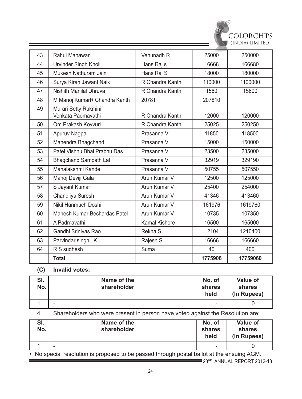

| 43 | Rahul Mahawar                              | Venunadh R           | 25000   | 250000   |
|----|--------------------------------------------|----------------------|---------|----------|
| 44 | Urvinder Singh Kholi                       | Hans Raj s           | 16668   | 166680   |
| 45 | Mukesh Nathuram Jain                       | Hans Raj S           | 18000   | 180000   |
| 46 | Surya Kiran Jawant Naik                    | R Chandra Kanth      | 110000  | 1100000  |
| 47 | Nishith Manilal Dhruva                     | R Chandra Kanth      | 1560    | 15600    |
| 48 | M Manoj KumarR Chandra Kanth               | 20781                | 207810  |          |
| 49 | Murari Setty Rukmini<br>Venkata Padmavathi | R Chandra Kanth      | 12000   | 120000   |
| 50 | Om Prakash Kovvuri                         | R Chandra Kanth      | 25025   | 250250   |
| 51 | Apuruv Nagpal                              | Prasanna V           | 11850   | 118500   |
| 52 | Mahendra Bhagchand                         | Prasanna V           | 15000   | 150000   |
| 53 | Patel Vishnu Bhai Prabhu Das               | Prasanna V           | 23500   | 235000   |
| 54 | <b>Bhagchand Sampath Lal</b>               | Prasanna V           | 32919   | 329190   |
| 55 | Mahalakshmi Kande                          | Prasanna V           | 50755   | 507550   |
| 56 | Manoj Deviji Gala                          | Arun Kumar V         | 12500   | 125000   |
| 57 | S Jayant Kumar                             | Arun Kumar V         | 25400   | 254000   |
| 58 | Chandliya Suresh                           | Arun Kumar V         | 41346   | 413460   |
| 59 | Nikil Hanmuch Doshi                        | Arun Kumar V         | 161976  | 1619760  |
| 60 | Mahesh Kumar Bechardas Patel               | Arun Kumar V         | 10735   | 107350   |
| 61 | A Padmavathi                               | <b>Kamal Kishore</b> | 16500   | 165000   |
| 62 | Gandhi Srinivas Rao                        | Rekha S              | 12104   | 1210400  |
| 63 | Parvindar singh K                          | Rajesh S             | 16666   | 166660   |
| 64 | R S sudhesh                                | Suma                 | 40      | 400      |
|    | <b>Total</b>                               |                      | 1775906 | 17759060 |
|    |                                            |                      |         |          |

# **(C) Invalid votes:**

| SI.<br>No. | Name of the<br>shareholder | No. of<br>shares<br>held | Value of<br>shares<br>(In Rupees) |
|------------|----------------------------|--------------------------|-----------------------------------|
|            | $\overline{\phantom{0}}$   | $\overline{\phantom{a}}$ |                                   |

4. Shareholders who were present in person have voted against the Resolution are:

| SI.<br>No. | Name of the<br>shareholder | No. of<br>shares<br>held | Value of<br>shares<br>(In Rupees) |
|------------|----------------------------|--------------------------|-----------------------------------|
|            | $\overline{\phantom{0}}$   | ۰                        |                                   |

• No special resolution is proposed to be passed through postal ballot at the ensuing AGM.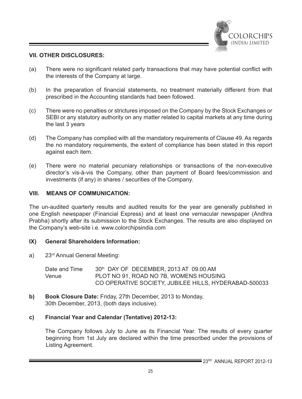

### **VII. OTHER DISCLOSURES:**

- (a) There were no significant related party transactions that may have potential conflict with the interests of the Company at large.
- (b) In the preparation of financial statements, no treatment materially different from that prescribed in the Accounting standards had been followed.
- (c) There were no penalties or strictures imposed on the Company by the Stock Exchanges or SEBI or any statutory authority on any matter related to capital markets at any time during the last 3 years
- (d) The Company has complied with all the mandatory requirements of Clause 49. As regards the no mandatory requirements, the extent of compliance has been stated in this report against each item.
- (e) There were no material pecuniary relationships or transactions of the non-executive director's vis-à-vis the Company, other than payment of Board fees/commission and investments (if any) in shares / securities of the Company.

# **VIII. MEANS OF COMMUNICATION:**

The un-audited quarterly results and audited results for the year are generally published in one English newspaper (Financial Express) and at least one vernacular newspaper (Andhra Prabha) shortly after its submission to the Stock Exchanges. The results are also displayed on the Company's web-site i.e. www.colorchipsindia.com

### **IX) General Shareholders Information:**

a) 23<sup>rd</sup> Annual General Meeting:

| Date and Time | $30th$ DAY OF DECEMBER, 2013 AT 09.00 AM              |
|---------------|-------------------------------------------------------|
| Venue         | PLOT NO 91, ROAD NO 7B, WOMENS HOUSING                |
|               | CO OPERATIVE SOCIETY. JUBILEE HILLS. HYDERABAD-500033 |

**b) Book Closure Date:** Friday, 27th December, 2013 to Monday, 30th December, 2013, (both days inclusive).

# **c) Financial Year and Calendar (Tentative) 2012-13:**

The Company follows July to June as its Financial Year. The results of every quarter beginning from 1st July are declared within the time prescribed under the provisions of Listing Agreement.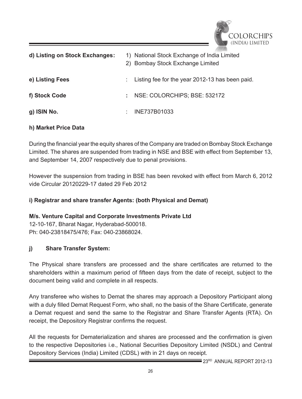

| d) Listing on Stock Exchanges: |    | 1) National Stock Exchange of India Limited<br>2) Bombay Stock Exchange Limited |
|--------------------------------|----|---------------------------------------------------------------------------------|
| e) Listing Fees                |    | Listing fee for the year 2012-13 has been paid.                                 |
| f) Stock Code                  | ÷. | NSE: COLORCHIPS; BSE: 532172                                                    |
| g) ISIN No.                    |    | INE737B01033                                                                    |

# **h) Market Price Data**

During the financial year the equity shares of the Company are traded on Bombay Stock Exchange Limited. The shares are suspended from trading in NSE and BSE with effect from September 13, and September 14, 2007 respectively due to penal provisions.

However the suspension from trading in BSE has been revoked with effect from March 6, 2012 vide Circular 20120229-17 dated 29 Feb 2012

# **i) Registrar and share transfer Agents: (both Physical and Demat)**

**M/s. Venture Capital and Corporate Investments Private Ltd**

12-10-167, Bharat Nagar, Hyderabad-500018. Ph: 040-23818475/476; Fax: 040-23868024.

# **j) Share Transfer System:**

The Physical share transfers are processed and the share certificates are returned to the shareholders within a maximum period of fifteen days from the date of receipt, subject to the document being valid and complete in all respects.

Any transferee who wishes to Demat the shares may approach a Depository Participant along with a duly filled Demat Request Form, who shall, no the basis of the Share Certificate, generate a Demat request and send the same to the Registrar and Share Transfer Agents (RTA). On receipt, the Depository Registrar confirms the request.

All the requests for Dematerialization and shares are processed and the confirmation is given to the respective Depositories i.e., National Securities Depository Limited (NSDL) and Central Depository Services (India) Limited (CDSL) with in 21 days on receipt.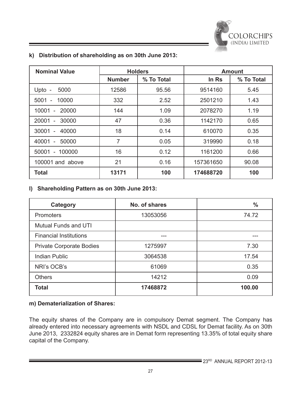

| <b>Nominal Value</b>      | <b>Holders</b> |            | Amount    |            |
|---------------------------|----------------|------------|-----------|------------|
|                           | <b>Number</b>  | % To Total | In Rs     | % To Total |
| 5000<br>Upto -            | 12586          | 95.56      | 9514160   | 5.45       |
| 5001<br>10000             | 332            | 2.52       | 2501210   | 1.43       |
| 10001<br>20000<br>$\sim$  | 144            | 1.09       | 2078270   | 1.19       |
| 20001<br>30000            | 47             | 0.36       | 1142170   | 0.65       |
| 30001<br>40000<br>$\sim$  | 18             | 0.14       | 610070    | 0.35       |
| 40001<br>50000            | 7              | 0.05       | 319990    | 0.18       |
| 50001<br>100000<br>$\sim$ | 16             | 0.12       | 1161200   | 0.66       |
| 100001 and above          | 21             | 0.16       | 157361650 | 90.08      |
| Total                     | 13171          | 100        | 174688720 | 100        |

# **k) Distribution of shareholding as on 30th June 2013:**

### **l) Shareholding Pattern as on 30th June 2013:**

| Category                      | No. of shares | $\%$   |
|-------------------------------|---------------|--------|
| Promoters                     | 13053056      | 74.72  |
| Mutual Funds and UTI          |               |        |
| <b>Financial Institutions</b> |               |        |
| Private Corporate Bodies      | 1275997       | 7.30   |
| Indian Public                 | 3064538       | 17.54  |
| NRI's OCB's                   | 61069         | 0.35   |
| <b>Others</b>                 | 14212         | 0.09   |
| <b>Total</b>                  | 17468872      | 100.00 |

### **m) Dematerialization of Shares:**

The equity shares of the Company are in compulsory Demat segment. The Company has already entered into necessary agreements with NSDL and CDSL for Demat facility. As on 30th June 2013, 2332824 equity shares are in Demat form representing 13.35% of total equity share capital of the Company.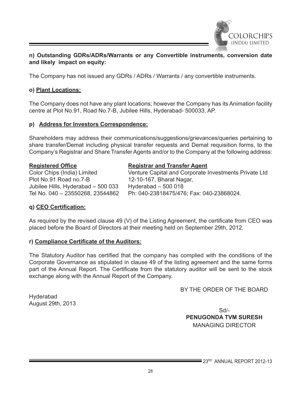

### **n) Outstanding GDRs/ADRs/Warrants or any Convertible instruments, conversion date and likely impact on equity:**

The Company has not issued any GDRs / ADRs / Warrants / any convertible instruments.

#### **o) Plant Locations:**

The Company does not have any plant locations; however the Company has its Animation facility centre at Plot No.91, Road No.7-B, Jubilee Hills, Hyderabad- 500033, AP.

### **p) Address for Investors Correspondence:**

Shareholders may address their communications/suggestions/grievances/queries pertaining to share transfer/Demat including physical transfer requests and Demat requisition forms, to the Company's Registrar and Share Transfer Agents and/or to the Company at the following address:

**Registered Office**<br> **Registrar and Transfer Agent**<br> **Registrar and Transfer Agent**<br> **Registrar and Transfer Agent**<br> **Registrar and Transfer Agent** Plot No.91 Road no.7-B 12-10-167, Bharat Nagar, Jubilee Hills, Hyderabad – 500 033 Hyderabad – 500 018

Venture Capital and Corporate Investments Private Ltd Tel No. 040 – 23550268, 23544862 Ph: 040-23818475/476; Fax: 040-23868024.

### **q) CEO Certification:**

As required by the revised clause 49 (V) of the Listing Agreement, the certificate from CEO was placed before the Board of Directors at their meeting held on September 29th, 2012.

#### **r) Compliance Certificate of the Auditors:**

The Statutory Auditor has certified that the company has complied with the conditions of the Corporate Governance as stipulated in clause 49 of the listing agreement and the same forms part of the Annual Report. The Certificate from the statutory auditor will be sent to the stock exchange along with the Annual Report of the Company.

BY THE ORDER OF THE BOARD

Hyderabad August 29th, 2013 

Sd/- **PENUGONDA TVM SURESH** MANAGING DIRECTOR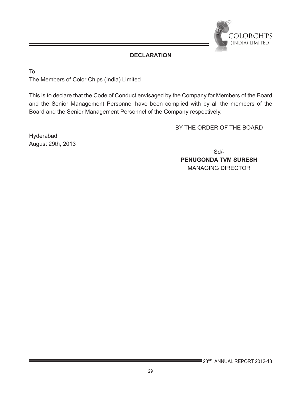

# **DECLARATION**

To The Members of Color Chips (India) Limited

This is to declare that the Code of Conduct envisaged by the Company for Members of the Board and the Senior Management Personnel have been complied with by all the members of the Board and the Senior Management Personnel of the Company respectively.

BY THE ORDER OF THE BOARD

Hyderabad August 29th, 2013 

Sd/- **PENUGONDA TVM SURESH** MANAGING DIRECTOR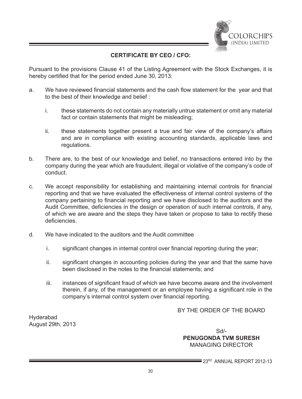

# **CERTIFICATE BY CEO / CFO:**

Pursuant to the provisions Clause 41 of the Listing Agreement with the Stock Exchanges, it is hereby certified that for the period ended June 30, 2013:

- a. We have reviewed financial statements and the cash flow statement for the year and that to the best of their knowledge and belief :
	- i. these statements do not contain any materially untrue statement or omit any material fact or contain statements that might be misleading;
	- ii. these statements together present a true and fair view of the company's affairs and are in compliance with existing accounting standards, applicable laws and regulations.
- b. There are, to the best of our knowledge and belief, no transactions entered into by the company during the year which are fraudulent, illegal or violative of the company's code of conduct.
- c. We accept responsibility for establishing and maintaining internal controls for financial reporting and that we have evaluated the effectiveness of internal control systems of the company pertaining to financial reporting and we have disclosed to the auditors and the Audit Committee, deficiencies in the design or operation of such internal controls, if any, of which we are aware and the steps they have taken or propose to take to rectify these deficiencies.
- d. We have indicated to the auditors and the Audit committee
	- i. significant changes in internal control over financial reporting during the year;
	- ii. significant changes in accounting policies during the year and that the same have been disclosed in the notes to the financial statements; and
	- iii. instances of significant fraud of which we have become aware and the involvement therein, if any, of the management or an employee having a significant role in the company's internal control system over financial reporting.

BY THE ORDER OF THE BOARD

Hyderabad August 29th, 2013 

Sd/- **PENUGONDA TVM SURESH** MANAGING DIRECTOR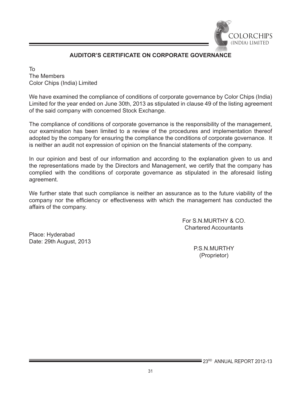

# **AUDITOR'S CERTIFICATE ON CORPORATE GOVERNANCE**

To The Members Color Chips (India) Limited

We have examined the compliance of conditions of corporate governance by Color Chips (India) Limited for the year ended on June 30th, 2013 as stipulated in clause 49 of the listing agreement of the said company with concerned Stock Exchange.

The compliance of conditions of corporate governance is the responsibility of the management, our examination has been limited to a review of the procedures and implementation thereof adopted by the company for ensuring the compliance the conditions of corporate governance. It is neither an audit not expression of opinion on the financial statements of the company.

In our opinion and best of our information and according to the explanation given to us and the representations made by the Directors and Management, we certify that the company has complied with the conditions of corporate governance as stipulated in the aforesaid listing agreement.

We further state that such compliance is neither an assurance as to the future viability of the company nor the efficiency or effectiveness with which the management has conducted the affairs of the company.

> For S.N.MURTHY & CO. Chartered Accountants

Place: Hyderabad Date: 29th August, 2013

P.S.N.MURTHY (Proprietor)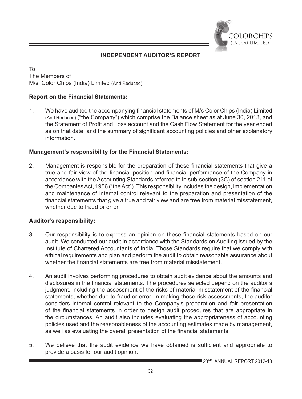

# **INDEPENDENT AUDITOR'S REPORT**

To The Members of M/s. Color Chips (India) Limited (And Reduced)

# **Report on the Financial Statements:**

1. We have audited the accompanying financial statements of M/s Color Chips (India) Limited (And Reduced) ("the Company") which comprise the Balance sheet as at June 30, 2013, and the Statement of Profit and Loss account and the Cash Flow Statement for the year ended as on that date, and the summary of significant accounting policies and other explanatory information.

### **Management's responsibility for the Financial Statements:**

2. Management is responsible for the preparation of these financial statements that give a true and fair view of the financial position and financial performance of the Company in accordance with the Accounting Standards referred to in sub-section (3C) of section 211 of the CompaniesAct, 1956 ("theAct"). This responsibility includes the design, implementation and maintenance of internal control relevant to the preparation and presentation of the financial statements that give a true and fair view and are free from material misstatement, whether due to fraud or error.

### **Auditor's responsibility:**

- 3. Our responsibility is to express an opinion on these financial statements based on our audit. We conducted our audit in accordance with the Standards on Auditing issued by the Institute of Chartered Accountants of India. Those Standards require that we comply with ethical requirements and plan and perform the audit to obtain reasonable assurance about whether the financial statements are free from material misstatement.
- 4. An audit involves performing procedures to obtain audit evidence about the amounts and disclosures in the financial statements. The procedures selected depend on the auditor's judgment, including the assessment of the risks of material misstatement of the financial statements, whether due to fraud or error. In making those risk assessments, the auditor considers internal control relevant to the Company's preparation and fair presentation of the financial statements in order to design audit procedures that are appropriate in the circumstances. An audit also includes evaluating the appropriateness of accounting policies used and the reasonableness of the accounting estimates made by management, as well as evaluating the overall presentation of the financial statements.
- 5. We believe that the audit evidence we have obtained is sufficient and appropriate to provide a basis for our audit opinion.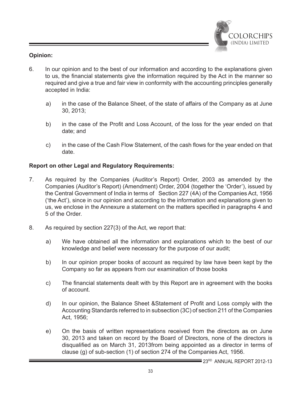

# **Opinion:**

- 6. In our opinion and to the best of our information and according to the explanations given to us, the financial statements give the information required by the Act in the manner so required and give a true and fair view in conformity with the accounting principles generally accepted in India:
	- a) in the case of the Balance Sheet, of the state of affairs of the Company as at June 30, 2013;
	- b) in the case of the Profit and Loss Account, of the loss for the year ended on that date; and
	- c) in the case of the Cash Flow Statement, of the cash flows for the year ended on that date.

# **Report on other Legal and Regulatory Requirements:**

- 7. As required by the Companies (Auditor's Report) Order, 2003 as amended by the Companies (Auditor's Report) (Amendment) Order, 2004 (together the 'Order'), issued by the Central Government of India in terms of Section 227 (4A) of the Companies Act, 1956 ('the Act'), since in our opinion and according to the information and explanations given to us, we enclose in the Annexure a statement on the matters specified in paragraphs 4 and 5 of the Order.
- 8. As required by section 227(3) of the Act, we report that:
	- a) We have obtained all the information and explanations which to the best of our knowledge and belief were necessary for the purpose of our audit;
	- b) In our opinion proper books of account as required by law have been kept by the Company so far as appears from our examination of those books
	- c) The financial statements dealt with by this Report are in agreement with the books of account.
	- d) In our opinion, the Balance Sheet & Statement of Profit and Loss comply with the Accounting Standards referred to in subsection (3C) of section 211 of the Companies Act, 1956;
	- e) On the basis of written representations received from the directors as on June 30, 2013 and taken on record by the Board of Directors, none of the directors is disqualified as on March 31, 2013from being appointed as a director in terms of clause (g) of sub-section (1) of section 274 of the Companies Act, 1956.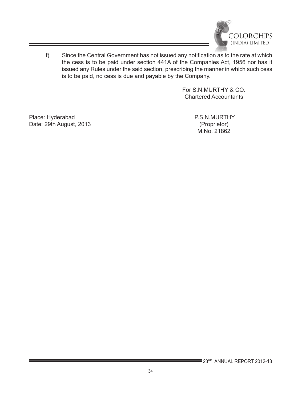

f) Since the Central Government has not issued any notification as to the rate at which the cess is to be paid under section 441A of the Companies Act, 1956 nor has it issued any Rules under the said section, prescribing the manner in which such cess is to be paid, no cess is due and payable by the Company.

> For S.N.MURTHY & CO. Chartered Accountants

Place: Hyderabad P.S.N.MURTHY Date: 29th August, 2013

M.No. 21862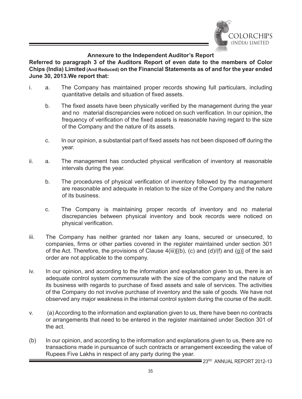

# **Annexure to the Independent Auditor's Report**

**Referred to paragraph 3 of the Auditors Report of even date to the members of Color Chips (India) Limited (And Reduced) on the Financial Statements as of and for the year ended June 30, 2013.We report that:**

- i. a. The Company has maintained proper records showing full particulars, including quantitative details and situation of fixed assets.
	- b. The fixed assets have been physically verified by the management during the year and no material discrepancies were noticed on such verification. In our opinion, the frequency of verification of the fixed assets is reasonable having regard to the size of the Company and the nature of its assets.
	- c. In our opinion, a substantial part of fixed assets has not been disposed off during the year.
- ii. a. The management has conducted physical verification of inventory at reasonable intervals during the year.
	- b. The procedures of physical verification of inventory followed by the management are reasonable and adequate in relation to the size of the Company and the nature of its business.
	- c. The Company is maintaining proper records of inventory and no material discrepancies between physical inventory and book records were noticed on physical verification.
- iii. The Company has neither granted nor taken any loans, secured or unsecured, to companies, firms or other parties covered in the register maintained under section 301 of the Act. Therefore, the provisions of Clause  $4(iii)[(b), (c)$  and  $(d)/(f)$  and  $(g)]$  of the said order are not applicable to the company.
- iv. In our opinion, and according to the information and explanation given to us, there is an adequate control system commensurate with the size of the company and the nature of its business with regards to purchase of fixed assets and sale of services. The activities of the Company do not involve purchase of inventory and the sale of goods. We have not observed any major weakness in the internal control system during the course of the audit.
- v. (a) According to the information and explanation given to us, there have been no contracts or arrangements that need to be entered in the register maintained under Section 301 of the act.
- (b) In our opinion, and according to the information and explanations given to us, there are no transactions made in pursuance of such contracts or arrangement exceeding the value of Rupees Five Lakhs in respect of any party during the year.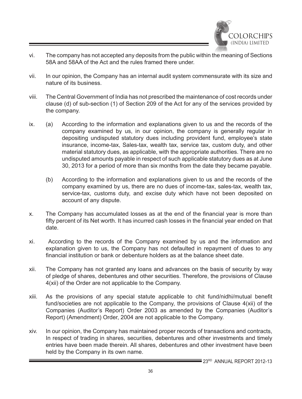

- vi. The company has not accepted any deposits from the public within the meaning of Sections 58A and 58AA of the Act and the rules framed there under.
- vii. In our opinion, the Company has an internal audit system commensurate with its size and nature of its business.
- viii. The Central Government of India has not prescribed the maintenance of cost records under clause (d) of sub-section (1) of Section 209 of the Act for any of the services provided by the company.
- ix. (a) According to the information and explanations given to us and the records of the company examined by us, in our opinion, the company is generally regular in depositing undisputed statutory dues including provident fund, employee's state insurance, income-tax, Sales-tax, wealth tax, service tax, custom duty, and other material statutory dues, as applicable, with the appropriate authorities. There are no undisputed amounts payable in respect of such applicable statutory dues as at June 30, 2013 for a period of more than six months from the date they became payable.
	- (b) According to the information and explanations given to us and the records of the company examined by us, there are no dues of income-tax, sales-tax, wealth tax, service-tax, customs duty, and excise duty which have not been deposited on account of any dispute.
- x. The Company has accumulated losses as at the end of the financial year is more than fifty percent of its Net worth. It has incurred cash losses in the financial year ended on that date.
- xi. According to the records of the Company examined by us and the information and explanation given to us, the Company has not defaulted in repayment of dues to any financial institution or bank or debenture holders as at the balance sheet date.
- xii. The Company has not granted any loans and advances on the basis of security by way of pledge of shares, debentures and other securities. Therefore, the provisions of Clause 4(xii) of the Order are not applicable to the Company.
- xiii. As the provisions of any special statute applicable to chit fund/nidhi/mutual benefit fund/societies are not applicable to the Company, the provisions of Clause 4(xii) of the Companies (Auditor's Report) Order 2003 as amended by the Companies (Auditor's Report) (Amendment) Order, 2004 are not applicable to the Company.
- xiv. In our opinion, the Company has maintained proper records of transactions and contracts, In respect of trading in shares, securities, debentures and other investments and timely entries have been made therein. All shares, debentures and other investment have been held by the Company in its own name.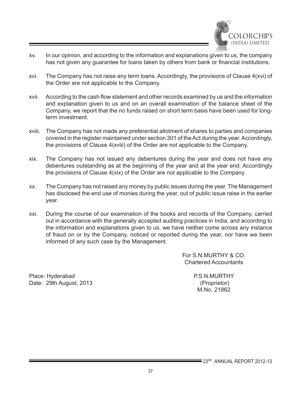

- xv. In our opinion, and according to the information and explanations given to us, the company has not given any guarantee for loans taken by others from bank or financial institutions.
- xvi. The Company has not raise any term loans. Accordingly, the provisions of Clause 4(xvi) of the Order are not applicable to the Company.
- xvii. According to the cash flow statement and other records examined by us and the information and explanation given to us and on an overall examination of the balance sheet of the Company, we report that the no funds raised on short term basis have been used for longterm investment.
- xviii. The Company has not made any preferential allotment of shares to parties and companies covered in the register maintained under section 301 of the Act during the year. Accordingly, the provisions of Clause 4(xviii) of the Order are not applicable to the Company.
- xix. The Company has not issued any debentures during the year and does not have any debentures outstanding as at the beginning of the year and at the year end. Accordingly the provisions of Clause 4(xix) of the Order are not applicable to the Company.
- xx. The Company has not raised any money by public issues during the year. The Management has disclosed the end use of monies during the year, out of public issue raise in the earlier year.
- xxi. During the course of our examination of the books and records of the Company, carried out in accordance with the generally accepted auditing practices in India, and according to the information and explanations given to us, we have neither come across any instance of fraud on or by the Company, noticed or reported during the year, nor have we been informed of any such case by the Management.

 For S.N.MURTHY & CO. Chartered Accountants

Place: Hyderabad P.S.N.MURTHY Date: 29th August, 2013

M.No. 21862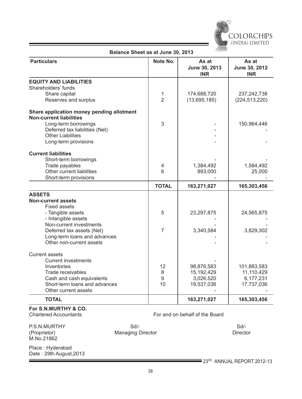

| <b>Balance Sheet as at June 30, 2013</b>                                    |                          |                                      |                                      |  |
|-----------------------------------------------------------------------------|--------------------------|--------------------------------------|--------------------------------------|--|
| <b>Particulars</b>                                                          | Note No.                 | As at<br>June 30, 2013<br><b>INR</b> | As at<br>June 30, 2012<br><b>INR</b> |  |
| <b>EQUITY AND LIABILITIES</b>                                               |                          |                                      |                                      |  |
| Shareholders' funds                                                         |                          |                                      |                                      |  |
| Share capital                                                               | 1                        | 174,688,720                          | 237, 242, 738                        |  |
| Reserves and surplus                                                        | $\overline{2}$           | (13,695,185)                         | (224, 513, 220)                      |  |
| Share application money pending allotment<br><b>Non-current liabilities</b> |                          |                                      |                                      |  |
| Long-term borrowings                                                        | 3                        |                                      | 150,964,446                          |  |
| Deferred tax liabilities (Net)                                              |                          |                                      |                                      |  |
| <b>Other Liabilities</b>                                                    |                          |                                      |                                      |  |
| Long-term provisions                                                        |                          |                                      |                                      |  |
| <b>Current liabilities</b>                                                  |                          |                                      |                                      |  |
| Short-term borrowings                                                       |                          |                                      |                                      |  |
| Trade payables                                                              | 4                        | 1,384,492                            | 1,584,492                            |  |
| Other current liabilities<br>Short-term provisions                          | 6                        | 893,000                              | 25,000                               |  |
|                                                                             | <b>TOTAL</b>             | 163,271,027                          | 165,303,456                          |  |
| <b>ASSETS</b>                                                               |                          |                                      |                                      |  |
| <b>Non-current assets</b>                                                   |                          |                                      |                                      |  |
| <b>Fixed assets</b>                                                         |                          |                                      |                                      |  |
| - Tangible assets                                                           | 5                        | 23,297,875                           | 24,565,875                           |  |
| - Intangible assets                                                         |                          |                                      |                                      |  |
| Non-current investments                                                     |                          |                                      |                                      |  |
| Deferred tax assets (Net)                                                   | 7                        | 3,340,584                            | 3,829,302                            |  |
| Long-term loans and advances<br>Other non-current assets                    |                          |                                      |                                      |  |
|                                                                             |                          |                                      |                                      |  |
| <b>Current assets</b>                                                       |                          |                                      |                                      |  |
| <b>Current investments</b>                                                  |                          |                                      |                                      |  |
| Inventories                                                                 | 12                       | 98,876,583                           | 101,883,583                          |  |
| Trade receivables                                                           | 8                        | 15, 192, 429                         | 11,110,429                           |  |
| Cash and cash equivalents                                                   | 9                        | 3,026,520                            | 6,177,231                            |  |
| Short-term loans and advances<br>Other current assets                       | 10                       | 19,537,036                           | 17,737,036                           |  |
| <b>TOTAL</b>                                                                |                          | 163,271,027                          | 165,303,456                          |  |
| or S.N.MURTHY & CO.                                                         |                          |                                      |                                      |  |
| <b>Chartered Accountants</b>                                                |                          | For and on behalf of the Board       |                                      |  |
| P.S.N.MURTHY                                                                | Sd/-                     |                                      | Sd/-                                 |  |
| (Proprietor)                                                                | <b>Managing Director</b> |                                      | Director                             |  |
| M.No.21862                                                                  |                          |                                      |                                      |  |
| Place: Hyderabad                                                            |                          |                                      |                                      |  |
| Date: 29th August, 2013                                                     |                          |                                      |                                      |  |

23RD ANNUAL REPORT 2012-13

ī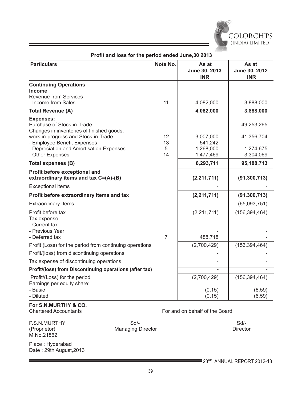

| <b>Particulars</b>                                                                                                                                                                                                                | Note No.            | As at<br>June 30, 2013<br><b>INR</b>           | As at<br>June 30, 2012<br><b>INR</b>               |
|-----------------------------------------------------------------------------------------------------------------------------------------------------------------------------------------------------------------------------------|---------------------|------------------------------------------------|----------------------------------------------------|
| <b>Continuing Operations</b><br><b>Income</b><br><b>Revenue from Services</b><br>- Income from Sales                                                                                                                              | 11                  | 4,082,000                                      | 3,888,000                                          |
| <b>Total Revenue (A)</b>                                                                                                                                                                                                          |                     | 4,082,000                                      | 3,888,000                                          |
| <b>Expenses:</b><br>Purchase of Stock-in-Trade<br>Changes in inventories of finished goods,<br>work-in-progress and Stock-in-Trade<br>- Employee Benefit Expenses<br>- Depreciation and Amortisation Expenses<br>- Other Expenses | 12<br>13<br>5<br>14 | 3,007,000<br>541,242<br>1,268,000<br>1,477,469 | 49,253,265<br>41,356,704<br>1,274,675<br>3,304,069 |
| Total expenses (B)                                                                                                                                                                                                                |                     | 6,293,711                                      | 95,188,713                                         |
| <b>Profit before exceptional and</b><br>extraordinary items and tax C=(A)-(B)                                                                                                                                                     |                     | (2, 211, 711)                                  | (91, 300, 713)                                     |
| <b>Exceptional items</b>                                                                                                                                                                                                          |                     |                                                |                                                    |
| Profit before extraordinary items and tax                                                                                                                                                                                         |                     | (2,211,711)                                    | (91, 300, 713)                                     |
| <b>Extraordinary Items</b>                                                                                                                                                                                                        |                     |                                                | (65,093,751)                                       |
| Profit before tax<br>Tax expense:<br>- Current tax<br>- Previous Year<br>- Deferred tax                                                                                                                                           | 7                   | (2,211,711)<br>488,718                         | (156, 394, 464)                                    |
| Profit (Loss) for the period from continuing operations                                                                                                                                                                           |                     | (2,700,429)                                    | (156, 394, 464)                                    |
| Profit/(loss) from discontinuing operations                                                                                                                                                                                       |                     |                                                |                                                    |
| Tax expense of discontinuing operations                                                                                                                                                                                           |                     |                                                |                                                    |
| Profit/(loss) from Discontinuing operations (after tax)                                                                                                                                                                           |                     |                                                |                                                    |
| Profit/(Loss) for the period<br>Earnings per equity share:                                                                                                                                                                        |                     | (2,700,429)                                    | (156, 394, 464)                                    |
| - Basic<br>- Diluted                                                                                                                                                                                                              |                     | (0.15)<br>(0.15)                               | (6.59)<br>(6.59)                                   |
| For S.N.MURTHY & CO.<br><b>Chartered Accountants</b>                                                                                                                                                                              |                     | For and on behalf of the Board                 |                                                    |
| P.S.N.MURTHY<br>$Sd$ -<br><b>Managing Director</b><br>(Proprietor)<br>M.No.21862                                                                                                                                                  |                     |                                                | $Sd$ -<br>Director                                 |

**Profit and loss for the period ended June,30 2013**

Place : Hyderabad Date : 29th August,2013 

 $\overline{a}$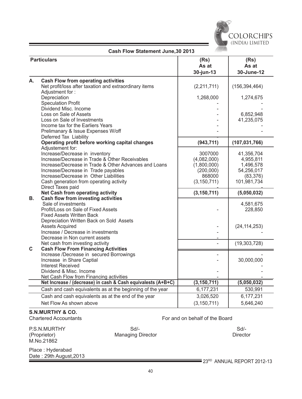

|    | <b>Particulars</b>                                                                                                      |                          | (Rs)<br>As at<br>30-jun-13     | (Rs)<br>As at<br>30-June-12 |
|----|-------------------------------------------------------------------------------------------------------------------------|--------------------------|--------------------------------|-----------------------------|
| А. | <b>Cash Flow from operating activities</b><br>Net profit/loss after taxation and extraordinary items<br>Adjustment for: |                          | (2,211,711)                    | (156, 394, 464)             |
|    | Depreciation                                                                                                            |                          | 1,268,000                      | 1,274,675                   |
|    | <b>Speculation Profit</b>                                                                                               |                          |                                |                             |
|    | Dividend Misc. Income                                                                                                   |                          |                                |                             |
|    | Loss on Sale of Assets                                                                                                  |                          |                                | 6,852,948                   |
|    | Loss on Sale of Investments                                                                                             |                          |                                | 41,235,075                  |
|    | Income tax for the Earliers Years                                                                                       |                          |                                |                             |
|    | Prelimanary & Issue Expenses W/off                                                                                      |                          |                                |                             |
|    | Deferred Tax Liability<br>Operating profit before working capital changes                                               |                          |                                |                             |
|    | Adjustement for:                                                                                                        |                          | (943, 711)                     | (107, 031, 766)             |
|    | Increase/Decrease in inventory                                                                                          |                          | 3007000                        | 41,356,704                  |
|    | Increase/Decrease in Trade & Other Receivables                                                                          |                          | (4,082,000)                    | 4,955,811                   |
|    | Increase/Decrease in Trade & Other Advances and Loans                                                                   |                          | (1,800,000)                    | 1,496,578                   |
|    | Increase/Decrease in Trade payables                                                                                     |                          | (200,000)                      | 54,256,017                  |
|    | Increase/Decrease in Other Liabilities                                                                                  |                          | 868000                         | (83, 376)                   |
|    | Cash generation from operating activity                                                                                 |                          | (3, 150, 711)                  | 101,981,734                 |
|    | Direct Taxes paid                                                                                                       |                          |                                |                             |
|    | Net Cash from operating activity                                                                                        |                          | (3, 150, 711)                  | (5,050,032)                 |
| В. | Cash flow from investing activities<br>Sale of investments                                                              |                          |                                |                             |
|    | Profit/Loss on Sale of Fixed Assets                                                                                     |                          |                                | 4,581,675<br>228,850        |
|    | Fixed Assets Written Back                                                                                               |                          |                                |                             |
|    | Depreciation Written Back on Sold Assets                                                                                |                          |                                |                             |
|    | <b>Assets Acquired</b>                                                                                                  |                          |                                | (24, 114, 253)              |
|    | Increase / Decrease in investments                                                                                      |                          |                                |                             |
|    | Decrease in Non current assets                                                                                          |                          |                                |                             |
|    | Net cash from investing activity                                                                                        |                          |                                | (19, 303, 728)              |
| C  | <b>Cash Flow From Financing Activities</b>                                                                              |                          |                                |                             |
|    | Increase /Decrease in secured Borrowings<br>Increase in Share Captial                                                   |                          |                                |                             |
|    | Interest Received                                                                                                       |                          |                                | 30,000,000                  |
|    | Dividend & Misc. Income                                                                                                 |                          |                                |                             |
|    | Net Cash Flow from Financing activities                                                                                 |                          |                                |                             |
|    | Net Increase / (decrease) in cash & Cash equivalests (A+B+C)                                                            |                          | (3, 150, 711)                  | (5,050,032)                 |
|    | Cash and cash equivalents as at the beginning of the year                                                               |                          | 6,177,231                      | 530,991                     |
|    | Cash and cash equivalents as at the end of the year                                                                     |                          | 3,026,520                      | 6,177,231                   |
|    | Net Flow As shown above                                                                                                 |                          | (3, 150, 711)                  | 5,646,240                   |
|    |                                                                                                                         |                          |                                |                             |
|    | <b>S.N.MURTHY &amp; CO.</b><br><b>Chartered Accountants</b>                                                             |                          | For and on behalf of the Board |                             |
|    | P.S.N.MURTHY                                                                                                            | $Sd$ -                   |                                | $Sd$ -                      |
|    | (Proprietor)                                                                                                            | <b>Managing Director</b> |                                | Director                    |

Place : Hyderabad Date : 29th August,2013 

(Proprietor)<br>M.No.21862

I

 $\equiv$  23RD ANNUAL REPORT 2012-13

Managing Director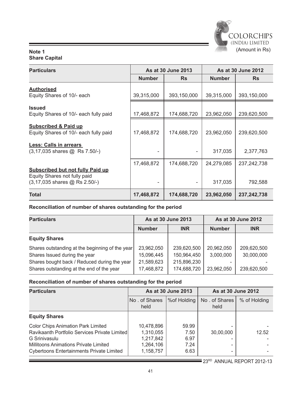#### **Note 1 Share Capital**

٠



| <b>Particulars</b>                                                       |                 | As at 30 June 2013 |                       | As at 30 June 2012     |  |
|--------------------------------------------------------------------------|-----------------|--------------------|-----------------------|------------------------|--|
|                                                                          | <b>Number</b>   | <b>Rs</b>          | <b>Number</b>         | Rs                     |  |
| <b>Authorised</b><br>Equity Shares of 10/- each                          | 39,315,000      | 393,150,000        | 39,315,000            | 393,150,000            |  |
| <b>Issued</b><br>Equity Shares of 10/- each fully paid                   | 17,468,872      | 174,688,720        | 23,962,050            | 239,620,500            |  |
| <b>Subscribed &amp; Paid up</b><br>Equity Shares of 10/- each fully paid | 17,468,872      | 174,688,720        | 23,962,050            | 239,620,500            |  |
| <b>Less: Calls in arrears</b><br>$(3, 17, 035$ shares $@$ Rs $7.50/-$ )  |                 |                    | 317,035               | 2,377,763              |  |
| <b>Subscribed but not fully Paid up</b><br>Equity Shares not fully paid  | 17,468,872      | 174,688,720        | 24,279,085<br>317,035 | 237,242,738<br>792,588 |  |
| $(3, 17, 035$ shares @ Rs 2.50/-)<br><b>Total</b>                        | ۰<br>17,468,872 | 174,688,720        | 23,962,050            | 237,242,738            |  |

**Reconciliation of number of shares outstanding for the period** 

| <b>Particulars</b>                                                                                                                                                            |                                                      | As at 30 June 2013                                       |                                       | As at 30 June 2012                       |
|-------------------------------------------------------------------------------------------------------------------------------------------------------------------------------|------------------------------------------------------|----------------------------------------------------------|---------------------------------------|------------------------------------------|
|                                                                                                                                                                               | <b>Number</b>                                        | <b>INR</b>                                               | <b>Number</b>                         | <b>INR</b>                               |
| <b>Equity Shares</b>                                                                                                                                                          |                                                      |                                                          |                                       |                                          |
| Shares outstanding at the beginning of the year<br>Shares Issued during the year<br>Shares bought back / Reduced during the year<br>Shares outstanding at the end of the year | 23,962,050<br>15,096,445<br>21.589.623<br>17,468,872 | 239,620,500<br>150,964,450<br>215,896,230<br>174,688,720 | 20.962.050<br>3,000,000<br>23,962,050 | 209,620,500<br>30,000,000<br>239,620,500 |

# **Reconciliation of number of shares outstanding for the period**

| <b>Particulars</b>                            | As at 30 June 2013    |             | As at 30 June 2012    |              |
|-----------------------------------------------|-----------------------|-------------|-----------------------|--------------|
|                                               | No. of Shares<br>held | %of Holding | No. of Shares<br>held | % of Holding |
| <b>Equity Shares</b>                          |                       |             |                       |              |
| <b>Color Chips Animation Park Limited</b>     | 10,478,896            | 59.99       |                       |              |
| Ravikaanth Portfolio Services Private Limited | 1,310,055             | 7.50        | 30.00.000             | 12.52        |
| G Srinivasulu                                 | 1,217,842             | 6.97        |                       |              |
| Millitoons Animations Private Limited         | 1,264,106             | 7.24        |                       |              |
| Cybertoons Entertainments Private Limited     | 1,158,757             | 6.63        | -                     |              |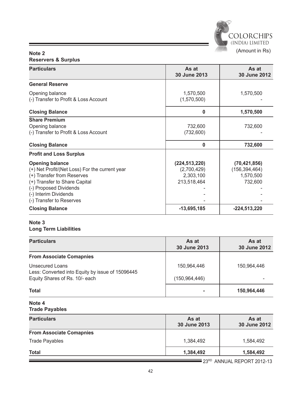# **COLORCHIPS** (INDIA) LIMITED (Amount in Rs)

#### **Note 2 Reservers & Surplus**

| <b>Particulars</b>                             | As at<br>30 June 2013 | As at<br>30 June 2012 |
|------------------------------------------------|-----------------------|-----------------------|
|                                                |                       |                       |
| <b>General Reserve</b>                         |                       |                       |
| Opening balance                                | 1,570,500             | 1,570,500             |
| (-) Transfer to Profit & Loss Account          | (1,570,500)           |                       |
| <b>Closing Balance</b>                         | 0                     | 1,570,500             |
| <b>Share Premium</b>                           |                       |                       |
| Opening balance                                | 732,600               | 732,600               |
| (-) Transfer to Profit & Loss Account          | (732,600)             |                       |
| <b>Closing Balance</b>                         | 0                     | 732,600               |
| <b>Profit and Loss Surplus</b>                 |                       |                       |
| <b>Opening balance</b>                         | (224, 513, 220)       | (70, 421, 856)        |
| (+) Net Profit/(Net Loss) For the current year | (2,700,429)           | (156, 394, 464)       |
| (+) Transfer from Reserves                     | 2,303,100             | 1,570,500             |
| (+) Transfer to Share Capital                  | 213,518,464           | 732,600               |
| (-) Proposed Dividends                         |                       |                       |
| (-) Interim Dividends                          |                       |                       |
| (-) Transfer to Reserves                       |                       |                       |
| <b>Closing Balance</b>                         | $-13,695,185$         | -224,513,220          |

#### **Note 3 Long Term Liabilities**

| <b>Particulars</b>                                                  | As at<br>30 June 2013 | As at<br>30 June 2012 |
|---------------------------------------------------------------------|-----------------------|-----------------------|
| <b>From Associate Comapnies</b>                                     |                       |                       |
| Unsecured Loans<br>Less: Converted into Equity by issue of 15096445 | 150,964,446           | 150,964,446           |
| Equity Shares of Rs. 10/- each                                      | (150.964.446)         |                       |
| Total                                                               |                       | 150,964,446           |

#### **Note 4 Trade Payables**

| <b>Particulars</b>              | As at<br>30 June 2013 | As at<br>30 June 2012 |
|---------------------------------|-----------------------|-----------------------|
| <b>From Associate Comapnies</b> |                       |                       |
| <b>Trade Payables</b>           | 1,384,492             | 1,584,492             |
| <b>Total</b>                    | 1,384,492             | 1,584,492             |

 $\equiv$  23RD ANNUAL REPORT 2012-13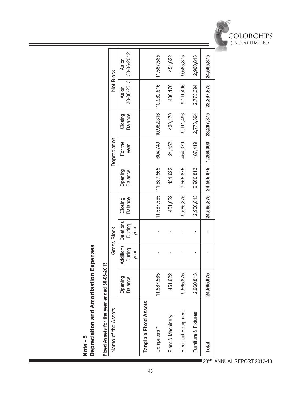COLORCHIPS (INDIA) LIMITED

Note - 5<br>Depreciation and Amortisation Expenses **Depreciation and Amortisation Expenses Note - 5** 

| Fixed Assets for the year ended 30-06-2013 |                           |                             |                                    |                           |                           |                 |                           |                                                                                         |                     |
|--------------------------------------------|---------------------------|-----------------------------|------------------------------------|---------------------------|---------------------------|-----------------|---------------------------|-----------------------------------------------------------------------------------------|---------------------|
| Name of the Assets                         |                           |                             | Gross Block                        |                           |                           | Depreciation    |                           | Net Block                                                                               |                     |
|                                            | <b>Balance</b><br>Opening | Additions<br>During<br>year | <b>Deletions</b><br>During<br>year | <b>Balance</b><br>Closing | <b>Balance</b><br>Opening | For the<br>year | <b>Balance</b><br>Closing | 30-06-2013<br>As on                                                                     | 30-06-2012<br>As on |
| Tangible Fixed Assets                      |                           |                             |                                    |                           |                           |                 |                           |                                                                                         |                     |
| Computers*                                 | 11,587,565                |                             |                                    |                           | 11,587,565   11,587,565   |                 |                           | 604,749   10,982,816   10,982,816                                                       | 11,587,565          |
| Plant & Machinery                          | 451,622                   |                             |                                    | 451,622                   | 451,622                   | 21,452          | 430,170                   | 430,170                                                                                 | 451,622             |
| Electrical Equipment                       | 9,565,875                 |                             |                                    | 9,565,875                 | 9,565,875                 | 454,379         | 9,111,496                 | 9,111,496                                                                               | 9,565,875           |
| Furniture & Fixtures                       | 2,960,813                 |                             |                                    | 2,960,813                 | 2,960,813                 | 187,419         | 2,773,394                 | 2,773,394                                                                               | 2,960,813           |
| <b>Total</b>                               | 24,565,875                |                             |                                    |                           |                           |                 |                           | $ 24,565,875 $ $24,565,875 $ $ 1,268,000 $ $ 23,297,875 $ $ 23,297,875 $ $ 24,565,875 $ |                     |

 $= 23<sup>RD</sup>$  ANNUAL REPORT 2012-13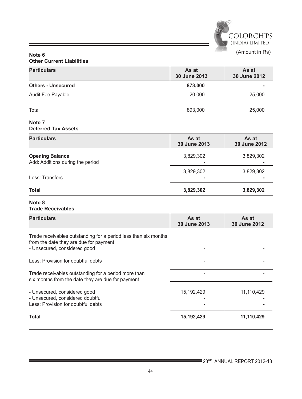# **COLORCHIPS** (INDIA) LIMITED (Amount in Rs)

#### **Note 6 Other Current Liabilities**

| <b>Particulars</b>        | As at<br>30 June 2013 | As at<br>30 June 2012 |
|---------------------------|-----------------------|-----------------------|
| <b>Others - Unsecured</b> | 873,000               |                       |
| Audit Fee Payable         | 20,000                | 25,000                |
| Total                     | 893,000               | 25,000                |

#### **Note 7 Deferred Tax Assets**

| <b>Particulars</b>                                         | As at<br>30 June 2013 | As at<br>30 June 2012 |
|------------------------------------------------------------|-----------------------|-----------------------|
| <b>Opening Balance</b><br>Add: Additions during the period | 3,829,302             | 3,829,302             |
| Less: Transfers                                            | 3,829,302             | 3,829,302             |
| <b>Total</b>                                               | 3,829,302             | 3,829,302             |

#### **Note 8 Trade Receivables**

| <b>Particulars</b>                                                                                                                        | As at<br>30 June 2013 | As at<br>30 June 2012 |
|-------------------------------------------------------------------------------------------------------------------------------------------|-----------------------|-----------------------|
| Trade receivables outstanding for a period less than six months<br>from the date they are due for payment<br>- Unsecured, considered good |                       |                       |
| Less: Provision for doubtful debts                                                                                                        |                       |                       |
| Trade receivables outstanding for a period more than<br>six months from the date they are due for payment                                 |                       |                       |
| - Unsecured, considered good<br>- Unsecured, considered doubtful<br>Less: Provision for doubtful debts                                    | 15,192,429            | 11,110,429            |
| Total                                                                                                                                     | 15,192,429            | 11,110,429            |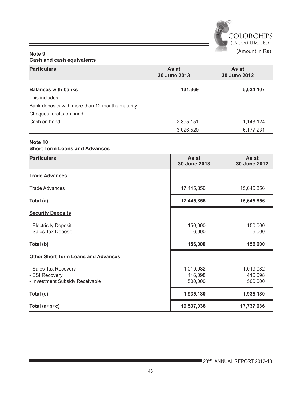

#### **Note 9 Cash and cash equivalents**

| <b>Particulars</b>                              |                          | As at<br>30 June 2013 | As at<br>30 June 2012    |           |
|-------------------------------------------------|--------------------------|-----------------------|--------------------------|-----------|
| <b>Balances with banks</b>                      |                          | 131,369               |                          | 5,034,107 |
| This includes:                                  |                          |                       |                          |           |
| Bank deposits with more than 12 months maturity | $\overline{\phantom{0}}$ |                       | $\overline{\phantom{0}}$ |           |
| Cheques, drafts on hand                         |                          |                       |                          |           |
| Cash on hand                                    |                          | 2,895,151             |                          | 1,143,124 |
|                                                 |                          | 3,026,520             |                          | 6,177,231 |

# **Note 10**

# **Short Term Loans and Advances**

| <b>Particulars</b>                                                        | As at<br>30 June 2013           | As at<br>30 June 2012           |
|---------------------------------------------------------------------------|---------------------------------|---------------------------------|
| <b>Trade Advances</b>                                                     |                                 |                                 |
| <b>Trade Advances</b>                                                     | 17,445,856                      | 15,645,856                      |
| Total (a)                                                                 | 17,445,856                      | 15,645,856                      |
| <b>Security Deposits</b>                                                  |                                 |                                 |
| - Electricity Deposit<br>- Sales Tax Deposit                              | 150,000<br>6,000                | 150,000<br>6,000                |
| Total (b)                                                                 | 156,000                         | 156,000                         |
| <b>Other Short Term Loans and Advances</b>                                |                                 |                                 |
| - Sales Tax Recovery<br>- ESI Recovery<br>- Investment Subsidy Receivable | 1,019,082<br>416,098<br>500,000 | 1,019,082<br>416,098<br>500,000 |
| Total (c)                                                                 | 1,935,180                       | 1,935,180                       |
| Total (a+b+c)                                                             | 19,537,036                      | 17,737,036                      |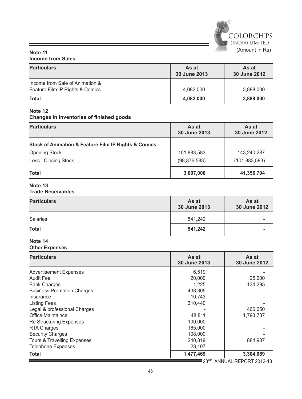# **COLORCHIPS** (INDIA) LIMITED (Amount in Rs)

#### **Note 11 Income from Sales**

E

| <b>Particulars</b>                                                 | As at<br>30 June 2013 | As at<br>30 June 2012 |
|--------------------------------------------------------------------|-----------------------|-----------------------|
| Income from Sale of Animation &<br>Feature Film IP Rights & Comics | 4.082.000             | 3,888,000             |
| <b>Total</b>                                                       | 4,082,000             | 3,888,000             |

# **Note 12**

# **Changes in inventories of finished goods**

| <b>Particulars</b>                                   | As at<br>30 June 2013 | As at<br>30 June 2012 |
|------------------------------------------------------|-----------------------|-----------------------|
| Stock of Animation & Feature Film IP Rights & Comics |                       |                       |
| <b>Opening Stock</b>                                 | 101,883,583           | 143,240,287           |
| Less: Closing Stock                                  | (98, 876, 583)        | (101, 883, 583)       |
| <b>Total</b>                                         | 3,007,000             | 41,356,704            |

#### **Note 13 Trade Receivables**

| <b>Particulars</b> | As at<br>30 June 2013 | As at<br>30 June 2012 |
|--------------------|-----------------------|-----------------------|
| Salaries           | 541,242               |                       |
| <b>Total</b>       | 541,242               | ۰                     |

#### **Note 14 Other Expenses**

| <b>Particulars</b>                | As at<br>30 June 2013 | As at<br>30 June 2012 |
|-----------------------------------|-----------------------|-----------------------|
| <b>Advertisement Expenses</b>     | 6.519                 |                       |
| Audit Fee                         | 20,000                | 25,000                |
| <b>Bank Charges</b>               | 1.225                 | 134,295               |
| <b>Business Promotion Charges</b> | 438.305               |                       |
| Insurance                         | 10.743                |                       |
| <b>Listing Fees</b>               | 310.440               |                       |
| Legal & professional Charges      |                       | 466,050               |
| Office Maintaince                 | 48.811                | 1,793,737             |
| Re Structuring Expenses           | 100.000               |                       |
| RTA Charges                       | 165,000               |                       |
| <b>Security Charges</b>           | 108,000               |                       |
| Tours & Travelling Expenses       | 240.319               | 884.987               |
| <b>Telephone Expenses</b>         | 28,107                |                       |
| <b>Total</b>                      | 1,477,469             | 3,304,069<br>$\Omega$ |

 $\equiv$  23 $\text{\tiny RD}$  ANNUAL REPORT 2012-13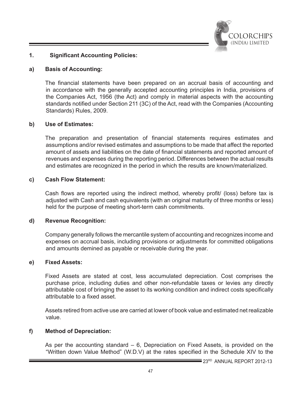

#### **1. Significant Accounting Policies:**

#### **a) Basis of Accounting:**

 The financial statements have been prepared on an accrual basis of accounting and in accordance with the generally accepted accounting principles in India, provisions of the Companies Act, 1956 (the Act) and comply in material aspects with the accounting standards notified under Section 211 (3C) of the Act, read with the Companies (Accounting Standards) Rules, 2009.

#### **b) Use of Estimates:**

 The preparation and presentation of financial statements requires estimates and assumptions and/or revised estimates and assumptions to be made that affect the reported amount of assets and liabilities on the date of financial statements and reported amount of revenues and expenses during the reporting period. Differences between the actual results and estimates are recognized in the period in which the results are known/materialized.

#### **c) Cash Flow Statement:**

 Cash flows are reported using the indirect method, whereby profit/ (loss) before tax is adjusted with Cash and cash equivalents (with an original maturity of three months or less) held for the purpose of meeting short-term cash commitments.

#### **d) Revenue Recognition:**

Company generally follows the mercantile system of accounting and recognizes income and expenses on accrual basis, including provisions or adjustments for committed obligations and amounts demined as payable or receivable during the year.

#### **e) Fixed Assets:**

Fixed Assets are stated at cost, less accumulated depreciation. Cost comprises the purchase price, including duties and other non-refundable taxes or levies any directly attributable cost of bringing the asset to its working condition and indirect costs specifically attributable to a fixed asset.

Assets retired from active use are carried at lower of book value and estimated net realizable value.

#### **f) Method of Depreciation:**

As per the accounting standard – 6, Depreciation on Fixed Assets, is provided on the "Written down Value Method" (W.D.V) at the rates specified in the Schedule XIV to the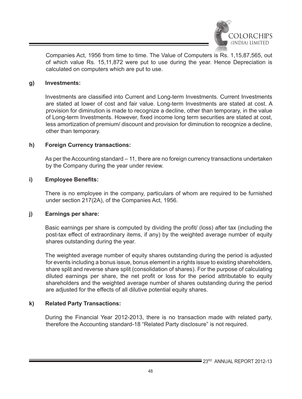

Companies Act, 1956 from time to time. The Value of Computers is Rs. 1,15,87,565, out of which value Rs. 15,11,872 were put to use during the year. Hence Depreciation is calculated on computers which are put to use.

#### **g) Investments:**

 Investments are classified into Current and Long-term Investments. Current Investments are stated at lower of cost and fair value. Long-term Investments are stated at cost. A provision for diminution is made to recognize a decline, other than temporary, in the value of Long-term Investments. However, fixed income long term securities are stated at cost, less amortization of premium/ discount and provision for diminution to recognize a decline, other than temporary.

#### **h) Foreign Currency transactions:**

As per the Accounting standard – 11, there are no foreign currency transactions undertaken by the Company during the year under review.

#### **i) Employee Benefits:**

There is no employee in the company, particulars of whom are required to be furnished under section 217(2A), of the Companies Act, 1956.

#### **j) Earnings per share:**

 Basic earnings per share is computed by dividing the profit/ (loss) after tax (including the post-tax effect of extraordinary items, if any) by the weighted average number of equity shares outstanding during the year.

The weighted average number of equity shares outstanding during the period is adjusted for events including a bonus issue, bonus element in a rights issue to existing shareholders, share split and reverse share split (consolidation of shares). For the purpose of calculating diluted earnings per share, the net profit or loss for the period attributable to equity shareholders and the weighted average number of shares outstanding during the period are adjusted for the effects of all dilutive potential equity shares.

### **k) Related Party Transactions:**

 During the Financial Year 2012-2013, there is no transaction made with related party, therefore the Accounting standard-18 "Related Party disclosure" is not required.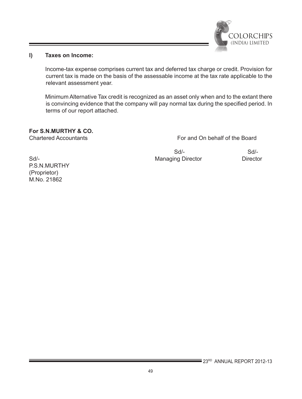

#### **l) Taxes on Income:**

 Income-tax expense comprises current tax and deferred tax charge or credit. Provision for current tax is made on the basis of the assessable income at the tax rate applicable to the relevant assessment year.

Minimum Alternative Tax credit is recognized as an asset only when and to the extant there is convincing evidence that the company will pay normal tax during the specified period. In terms of our report attached.

**For S.N.MURTHY & CO.** 

For and On behalf of the Board

 Sd/- Sd/- Sd/- Solution of the Managing Director Contractor Director Director

P.S.N.MURTHY (Proprietor) M.No. 21862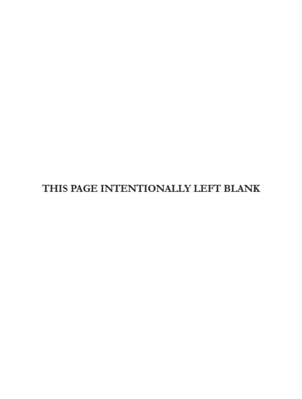THIS PAGE INTENTIONALLY LEFT BLANK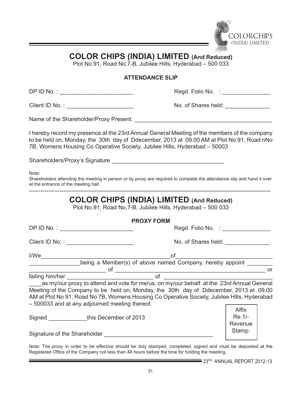

# **COLOR CHIPS (INDIA) LIMITED (And Reduced)**

Plot No.91, Road No.7-B, Jubilee Hills, Hyderabad – 500 033

#### **ATTENDANCE SLIP**

| DP ID No. : ______________________________                                                                                                                                                                                                                                                                                           | Regd. Folio No. : _______________                                                                               |                            |  |
|--------------------------------------------------------------------------------------------------------------------------------------------------------------------------------------------------------------------------------------------------------------------------------------------------------------------------------------|-----------------------------------------------------------------------------------------------------------------|----------------------------|--|
|                                                                                                                                                                                                                                                                                                                                      | No. of Shares held: ________________                                                                            |                            |  |
|                                                                                                                                                                                                                                                                                                                                      |                                                                                                                 |                            |  |
| I hereby record my presence at the 23rd Annual General Meeting of the members of the company<br>to be held on, Monday, the 30th day of Ddecember, 2013 at 09.00 AM at Plot No 91, Road nNo<br>7B, Womens Housing Co Operative Society, Jubilee Hills, Hyderabad - 50003                                                              |                                                                                                                 |                            |  |
|                                                                                                                                                                                                                                                                                                                                      |                                                                                                                 |                            |  |
| Note:<br>Shareholders attending the meeting in person or by proxy are required to complete the attendance slip and hand it over<br>at the entrance of the meeting hall.                                                                                                                                                              |                                                                                                                 |                            |  |
|                                                                                                                                                                                                                                                                                                                                      | <b>COLOR CHIPS (INDIA) LIMITED (And Reduced)</b><br>Plot No.91, Road No.7-B, Jubilee Hills, Hyderabad - 500 033 |                            |  |
|                                                                                                                                                                                                                                                                                                                                      | <b>PROXY FORM</b>                                                                                               |                            |  |
| DP ID No. : _____________________________                                                                                                                                                                                                                                                                                            | Regd. Folio No. : ________________                                                                              |                            |  |
|                                                                                                                                                                                                                                                                                                                                      | No. of Shares held: ________________                                                                            |                            |  |
| I/We_________________being a Member(s) of above named Company, hereby appoint _________                                                                                                                                                                                                                                              |                                                                                                                 |                            |  |
|                                                                                                                                                                                                                                                                                                                                      |                                                                                                                 |                            |  |
| of example of example of example of example of example of example of example of example of example of example of $\frac{1}{2}$                                                                                                                                                                                                       |                                                                                                                 |                            |  |
| as my/our proxy to attend and vote for me/us, on my/our behalf at the 23rd Annual General<br>Meeting of the Company to be held on, Monday, the 30th day of Ddecember, 2013 at 09.00<br>AM at Plot No 91, Road No 7B, Womens Housing Co Operative Society, Jubilee Hills, Hyderabad<br>- 500033 and at any adjourned meeting thereof. |                                                                                                                 |                            |  |
| Signed _________________this December of 2013                                                                                                                                                                                                                                                                                        |                                                                                                                 | Affix<br>Re.1/-<br>Revenue |  |
|                                                                                                                                                                                                                                                                                                                                      |                                                                                                                 | Stamp.                     |  |

Note: The proxy in order to be effective should be duly stamped, completed, signed and must be deposited at the Registered Office of the Company not less than 48 hours before the time for holding the meeting.

 $= 23<sup>RD</sup>$  ANNUAL REPORT 2012-13